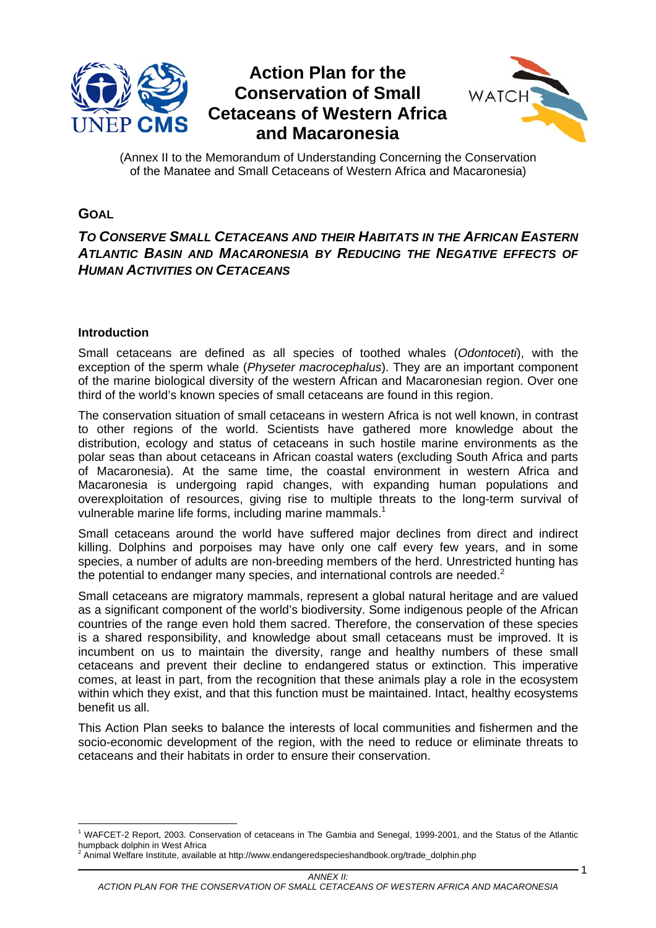

# **Action Plan for the Conservation of Small Cetaceans of Western Africa and Macaronesia**



1

(Annex II to the Memorandum of Understanding Concerning the Conservation of the Manatee and Small Cetaceans of Western Africa and Macaronesia)

# **GOAL**

## *TO CONSERVE SMALL CETACEANS AND THEIR HABITATS IN THE AFRICAN EASTERN*  **ATLANTIC BASIN AND MACARONESIA BY REDUCING THE NEGATIVE EFFECTS OF** *HUMAN ACTIVITIES ON CETACEANS*

### **Introduction**

Small cetaceans are defined as all species of toothed whales (*Odontoceti*), with the exception of the sperm whale (*Physeter macrocephalus*). They are an important component of the marine biological diversity of the western African and Macaronesian region. Over one third of the world's known species of small cetaceans are found in this region.

The conservation situation of small cetaceans in western Africa is not well known, in contrast to other regions of the world. Scientists have gathered more knowledge about the distribution, ecology and status of cetaceans in such hostile marine environments as the polar seas than about cetaceans in African coastal waters (excluding South Africa and parts of Macaronesia). At the same time, the coastal environment in western Africa and Macaronesia is undergoing rapid changes, with expanding human populations and overexploitation of resources, giving rise to multiple threats to the long-term survival of vulnerable marine life forms, including marine mammals.<sup>1</sup>

Small cetaceans around the world have suffered major declines from direct and indirect killing. Dolphins and porpoises may have only one calf every few years, and in some species, a number of adults are non-breeding members of the herd. Unrestricted hunting has the potential to endanger many species, and international controls are needed.<sup>2</sup>

Small cetaceans are migratory mammals, represent a global natural heritage and are valued as a significant component of the world's biodiversity. Some indigenous people of the African countries of the range even hold them sacred. Therefore, the conservation of these species is a shared responsibility, and knowledge about small cetaceans must be improved. It is incumbent on us to maintain the diversity, range and healthy numbers of these small cetaceans and prevent their decline to endangered status or extinction. This imperative comes, at least in part, from the recognition that these animals play a role in the ecosystem within which they exist, and that this function must be maintained. Intact, healthy ecosystems benefit us all.

This Action Plan seeks to balance the interests of local communities and fishermen and the socio-economic development of the region, with the need to reduce or eliminate threats to cetaceans and their habitats in order to ensure their conservation.

 1 WAFCET-2 Report, 2003. Conservation of cetaceans in The Gambia and Senegal, 1999-2001, and the Status of the Atlantic humpback dolphin in West Africa

 $^2$  Animal Welfare Institute, available at http://www.endangeredspecieshandbook.org/trade\_dolphin.php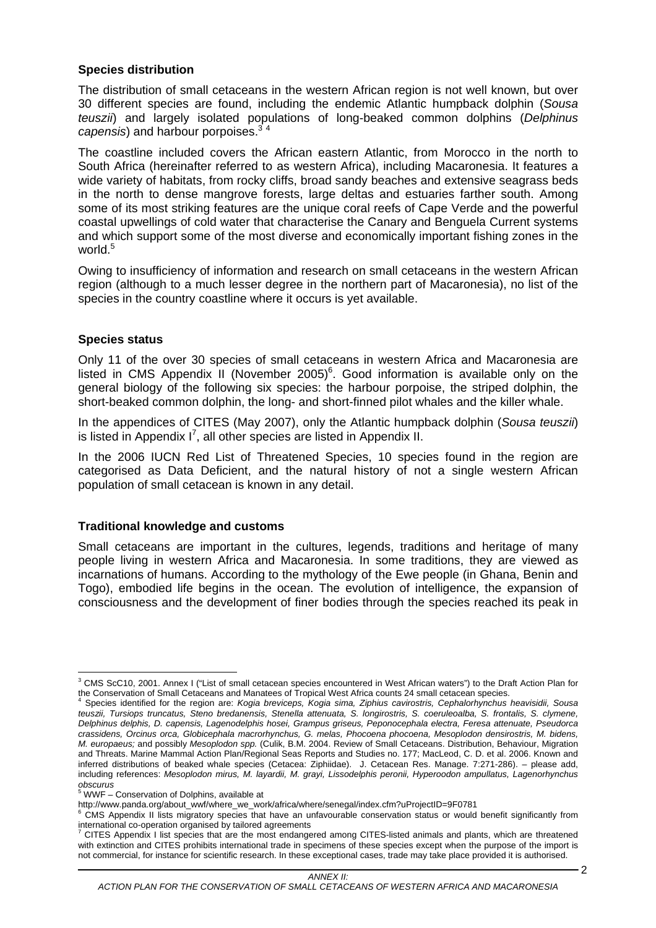## **Species distribution**

The distribution of small cetaceans in the western African region is not well known, but over 30 different species are found, including the endemic Atlantic humpback dolphin (*Sousa teuszii*) and largely isolated populations of long-beaked common dolphins (*Delphinus*  capensis) and harbour porpoises.<sup>3</sup>

The coastline included covers the African eastern Atlantic, from Morocco in the north to South Africa (hereinafter referred to as western Africa), including Macaronesia. It features a wide variety of habitats, from rocky cliffs, broad sandy beaches and extensive seagrass beds in the north to dense mangrove forests, large deltas and estuaries farther south. Among some of its most striking features are the unique coral reefs of Cape Verde and the powerful coastal upwellings of cold water that characterise the Canary and Benguela Current systems and which support some of the most diverse and economically important fishing zones in the world.<sup>5</sup>

Owing to insufficiency of information and research on small cetaceans in the western African region (although to a much lesser degree in the northern part of Macaronesia), no list of the species in the country coastline where it occurs is yet available.

### **Species status**

Only 11 of the over 30 species of small cetaceans in western Africa and Macaronesia are listed in CMS Appendix II (November 2005) $^6$ . Good information is available only on the general biology of the following six species: the harbour porpoise, the striped dolphin, the short-beaked common dolphin, the long- and short-finned pilot whales and the killer whale.

In the appendices of CITES (May 2007), only the Atlantic humpback dolphin (*Sousa teuszii*) is listed in Appendix  $I^7$ , all other species are listed in Appendix II.

In the 2006 IUCN Red List of Threatened Species, 10 species found in the region are categorised as Data Deficient, and the natural history of not a single western African population of small cetacean is known in any detail.

### **Traditional knowledge and customs**

Small cetaceans are important in the cultures, legends, traditions and heritage of many people living in western Africa and Macaronesia. In some traditions, they are viewed as incarnations of humans. According to the mythology of the Ewe people (in Ghana, Benin and Togo), embodied life begins in the ocean. The evolution of intelligence, the expansion of consciousness and the development of finer bodies through the species reached its peak in

 3 CMS ScC10, 2001. Annex I ("List of small cetacean species encountered in West African waters") to the Draft Action Plan for the Conservation of Small Cetaceans and Manatees of Tropical West Africa counts 24 small cetacean species.

Species identified for the region are: *Kogia breviceps, Kogia sima, Ziphius cavirostris, Cephalorhynchus heavisidii, Sousa teuszii, Tursiops truncatus, Steno bredanensis, Stenella attenuata, S. longirostris, S. coeruleoalba, S. frontalis, S. clymene, Delphinus delphis, D. capensis, Lagenodelphis hosei, Grampus griseus, Peponocephala electra, Feresa attenuate, Pseudorca crassidens, Orcinus orca, Globicephala macrorhynchus, G. melas, Phocoena phocoena, Mesoplodon densirostris, M. bidens, M. europaeus;* and possibly *Mesoplodon spp.* (Culik, B.M. 2004. Review of Small Cetaceans. Distribution, Behaviour, Migration and Threats. Marine Mammal Action Plan/Regional Seas Reports and Studies no. 177; MacLeod, C. D. et al. 2006. Known and inferred distributions of beaked whale species (Cetacea: Ziphiidae). J. Cetacean Res. Manage. 7:271-286). – please add, including references: *Mesoplodon mirus, M. layardii, M. grayi, Lissodelphis peronii, Hyperoodon ampullatus, Lagenorhynchus* 

*obscurus*  5 WWF – Conservation of Dolphins, available at

http://www.panda.org/about\_wwf/where\_we\_work/africa/where/senegal/index.cfm?uProjectID=9F0781 6

CMS Appendix II lists migratory species that have an unfavourable conservation status or would benefit significantly from international co-operation organised by tailored agreements<br><sup>7</sup> CITES Appendix Lliet appaigs that are the mest anderge

CITES Appendix I list species that are the most endangered among CITES-listed animals and plants, which are threatened with extinction and CITES prohibits international trade in specimens of these species except when the purpose of the import is not commercial, for instance for scientific research. In these exceptional cases, trade may take place provided it is authorised.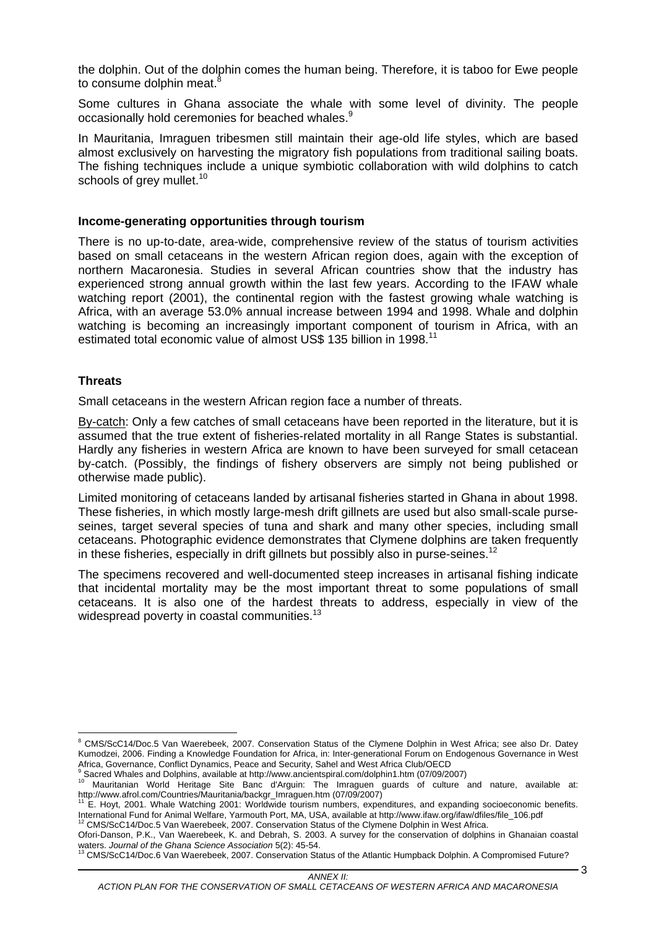the dolphin. Out of the dolphin comes the human being. Therefore, it is taboo for Ewe people to consume dolphin meat.<sup>8</sup>

Some cultures in Ghana associate the whale with some level of divinity. The people occasionally hold ceremonies for beached whales.<sup>9</sup>

In Mauritania, Imraguen tribesmen still maintain their age-old life styles, which are based almost exclusively on harvesting the migratory fish populations from traditional sailing boats. The fishing techniques include a unique symbiotic collaboration with wild dolphins to catch schools of grey mullet.<sup>10</sup>

#### **Income-generating opportunities through tourism**

There is no up-to-date, area-wide, comprehensive review of the status of tourism activities based on small cetaceans in the western African region does, again with the exception of northern Macaronesia. Studies in several African countries show that the industry has experienced strong annual growth within the last few years. According to the IFAW whale watching report (2001), the continental region with the fastest growing whale watching is Africa, with an average 53.0% annual increase between 1994 and 1998. Whale and dolphin watching is becoming an increasingly important component of tourism in Africa, with an estimated total economic value of almost US\$ 135 billion in 1998.<sup>11</sup>

### **Threats**

Small cetaceans in the western African region face a number of threats.

By-catch: Only a few catches of small cetaceans have been reported in the literature, but it is assumed that the true extent of fisheries-related mortality in all Range States is substantial. Hardly any fisheries in western Africa are known to have been surveyed for small cetacean by-catch. (Possibly, the findings of fishery observers are simply not being published or otherwise made public).

Limited monitoring of cetaceans landed by artisanal fisheries started in Ghana in about 1998. These fisheries, in which mostly large-mesh drift gillnets are used but also small-scale purseseines, target several species of tuna and shark and many other species, including small cetaceans. Photographic evidence demonstrates that Clymene dolphins are taken frequently in these fisheries, especially in drift gillnets but possibly also in purse-seines.<sup>12</sup>

The specimens recovered and well-documented steep increases in artisanal fishing indicate that incidental mortality may be the most important threat to some populations of small cetaceans. It is also one of the hardest threats to address, especially in view of the widespread poverty in coastal communities.<sup>13</sup>

 8 CMS/ScC14/Doc.5 Van Waerebeek, 2007. Conservation Status of the Clymene Dolphin in West Africa; see also Dr. Datey Kumodzei, 2006. Finding a Knowledge Foundation for Africa, in: Inter-generational Forum on Endogenous Governance in West Africa, Governance, Conflict Dynamics, Peace and Security, Sahel and West Africa Club/OECD 9

Sacred Whales and Dolphins, available at http://www.ancientspiral.com/dolphin1.htm (07/09/2007)<br><sup>10</sup> Mauritanian World Heritage Site Banc d'Arguin: The Imraguen guards of culture and nature, available at:<br>http://www.afrol. inter Hoyt, 2001. Whale Watching 2001: Worldwide tourism numbers, expenditures, and expanding socioeconomic benefits.

International Fund for Animal Welfare, Yarmouth Port, MA, USA, available at http://www.ifaw.org/ifaw/dfiles/file\_106.pdf 12 CMS/ScC14/Doc.5 Van Waerebeek, 2007. Conservation Status of the Clymene Dolphin in West Africa.

Ofori-Danson, P.K., Van Waerebeek, K. and Debrah, S. 2003. A survey for the conservation of dolphins in Ghanaian coastal waters. *Journal of the Ghana Science Association* 5(2): 45-54.<br><sup>13</sup> CMS/ScC14/Doc.6 Van Waerebeek, 2007. Conservation Status of the Atlantic Humpback Dolphin. A Compromised Future?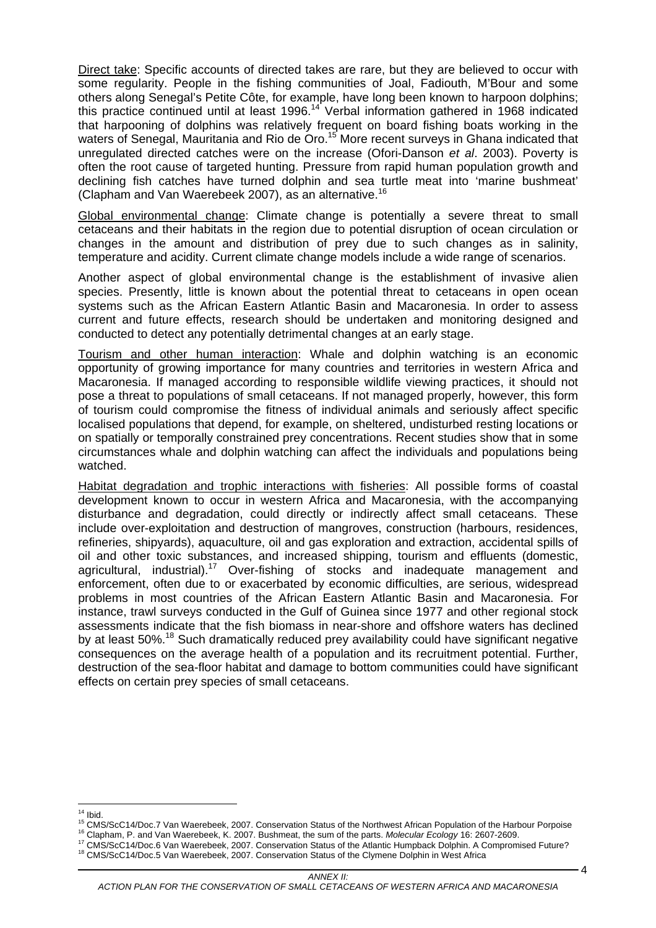Direct take: Specific accounts of directed takes are rare, but they are believed to occur with some regularity. People in the fishing communities of Joal, Fadiouth, M'Bour and some others along Senegal's Petite Côte, for example, have long been known to harpoon dolphins; this practice continued until at least 1996.14 Verbal information gathered in 1968 indicated that harpooning of dolphins was relatively frequent on board fishing boats working in the waters of Senegal, Mauritania and Rio de Oro.<sup>15</sup> More recent surveys in Ghana indicated that unregulated directed catches were on the increase (Ofori-Danson *et al*. 2003). Poverty is often the root cause of targeted hunting. Pressure from rapid human population growth and declining fish catches have turned dolphin and sea turtle meat into 'marine bushmeat' (Clapham and Van Waerebeek 2007), as an alternative.<sup>16</sup>

Global environmental change: Climate change is potentially a severe threat to small cetaceans and their habitats in the region due to potential disruption of ocean circulation or changes in the amount and distribution of prey due to such changes as in salinity, temperature and acidity. Current climate change models include a wide range of scenarios.

Another aspect of global environmental change is the establishment of invasive alien species. Presently, little is known about the potential threat to cetaceans in open ocean systems such as the African Eastern Atlantic Basin and Macaronesia. In order to assess current and future effects, research should be undertaken and monitoring designed and conducted to detect any potentially detrimental changes at an early stage.

Tourism and other human interaction: Whale and dolphin watching is an economic opportunity of growing importance for many countries and territories in western Africa and Macaronesia. If managed according to responsible wildlife viewing practices, it should not pose a threat to populations of small cetaceans. If not managed properly, however, this form of tourism could compromise the fitness of individual animals and seriously affect specific localised populations that depend, for example, on sheltered, undisturbed resting locations or on spatially or temporally constrained prey concentrations. Recent studies show that in some circumstances whale and dolphin watching can affect the individuals and populations being watched.

Habitat degradation and trophic interactions with fisheries: All possible forms of coastal development known to occur in western Africa and Macaronesia, with the accompanying disturbance and degradation, could directly or indirectly affect small cetaceans. These include over-exploitation and destruction of mangroves, construction (harbours, residences, refineries, shipyards), aquaculture, oil and gas exploration and extraction, accidental spills of oil and other toxic substances, and increased shipping, tourism and effluents (domestic, agricultural, industrial).<sup>17</sup> Over-fishing of stocks and inadequate management and enforcement, often due to or exacerbated by economic difficulties, are serious, widespread problems in most countries of the African Eastern Atlantic Basin and Macaronesia. For instance, trawl surveys conducted in the Gulf of Guinea since 1977 and other regional stock assessments indicate that the fish biomass in near-shore and offshore waters has declined by at least 50%.<sup>18</sup> Such dramatically reduced prey availability could have significant negative consequences on the average health of a population and its recruitment potential. Further, destruction of the sea-floor habitat and damage to bottom communities could have significant effects on certain prey species of small cetaceans.

 $14$  Ibid.

4

<sup>&</sup>lt;sup>15</sup> CMS/ScC14/Doc.7 Van Waerebeek, 2007. Conservation Status of the Northwest African Population of the Harbour Porpoise <sup>16</sup> Clapham, P. and Van Waerebeek, K. 2007. Bushmeat, the sum of the parts. *Molecular Ecology* 16: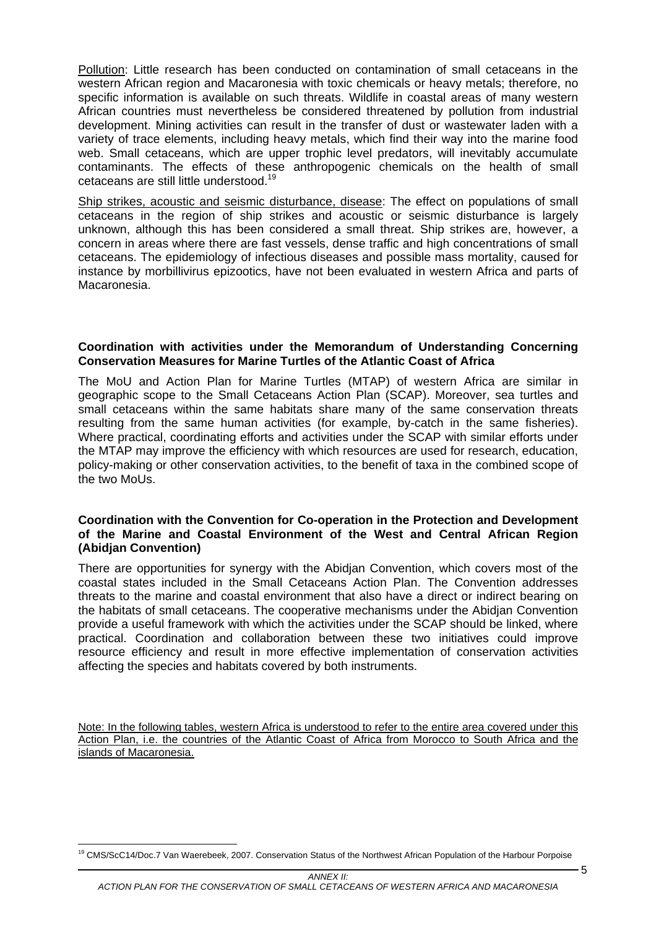Pollution: Little research has been conducted on contamination of small cetaceans in the western African region and Macaronesia with toxic chemicals or heavy metals; therefore, no specific information is available on such threats. Wildlife in coastal areas of many western African countries must nevertheless be considered threatened by pollution from industrial development. Mining activities can result in the transfer of dust or wastewater laden with a variety of trace elements, including heavy metals, which find their way into the marine food web. Small cetaceans, which are upper trophic level predators, will inevitably accumulate contaminants. The effects of these anthropogenic chemicals on the health of small cetaceans are still little understood.19

Ship strikes, acoustic and seismic disturbance, disease: The effect on populations of small cetaceans in the region of ship strikes and acoustic or seismic disturbance is largely unknown, although this has been considered a small threat. Ship strikes are, however, a concern in areas where there are fast vessels, dense traffic and high concentrations of small cetaceans. The epidemiology of infectious diseases and possible mass mortality, caused for instance by morbillivirus epizootics, have not been evaluated in western Africa and parts of Macaronesia.

#### **Coordination with activities under the Memorandum of Understanding Concerning Conservation Measures for Marine Turtles of the Atlantic Coast of Africa**

The MoU and Action Plan for Marine Turtles (MTAP) of western Africa are similar in geographic scope to the Small Cetaceans Action Plan (SCAP). Moreover, sea turtles and small cetaceans within the same habitats share many of the same conservation threats resulting from the same human activities (for example, by-catch in the same fisheries). Where practical, coordinating efforts and activities under the SCAP with similar efforts under the MTAP may improve the efficiency with which resources are used for research, education, policy-making or other conservation activities, to the benefit of taxa in the combined scope of the two MoUs.

#### **Coordination with the Convention for Co-operation in the Protection and Development of the Marine and Coastal Environment of the West and Central African Region (Abidjan Convention)**

There are opportunities for synergy with the Abidjan Convention, which covers most of the coastal states included in the Small Cetaceans Action Plan. The Convention addresses threats to the marine and coastal environment that also have a direct or indirect bearing on the habitats of small cetaceans. The cooperative mechanisms under the Abidjan Convention provide a useful framework with which the activities under the SCAP should be linked, where practical. Coordination and collaboration between these two initiatives could improve resource efficiency and result in more effective implementation of conservation activities affecting the species and habitats covered by both instruments.

Note: In the following tables, western Africa is understood to refer to the entire area covered under this Action Plan, i.e. the countries of the Atlantic Coast of Africa from Morocco to South Africa and the islands of Macaronesia.

 $\overline{a}$ <sup>19</sup> CMS/ScC14/Doc.7 Van Waerebeek, 2007. Conservation Status of the Northwest African Population of the Harbour Porpoise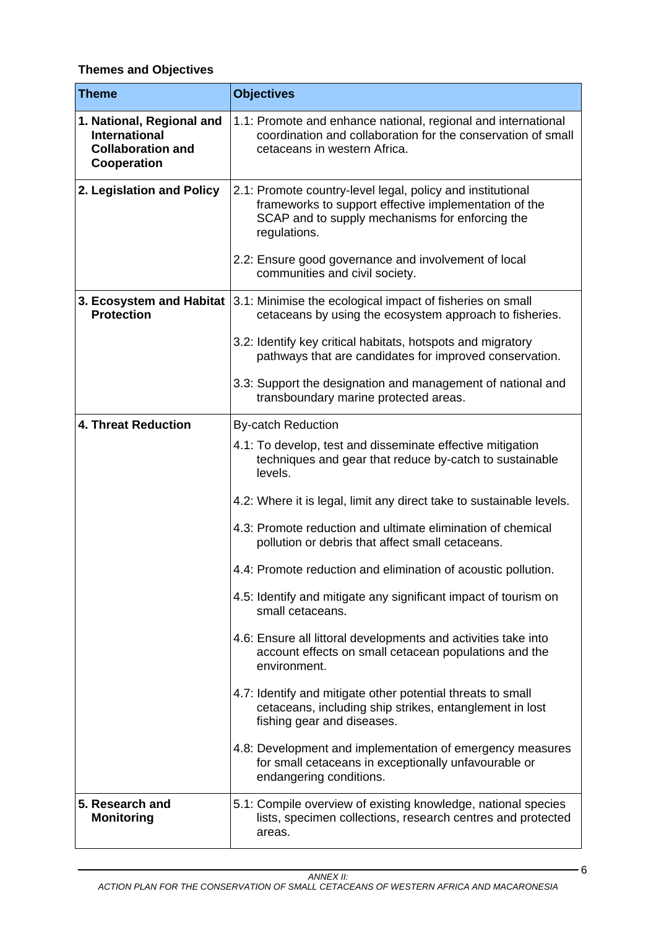# **Themes and Objectives**

| <b>Theme</b>                                                                                 | <b>Objectives</b>                                                                                                                                                                      |
|----------------------------------------------------------------------------------------------|----------------------------------------------------------------------------------------------------------------------------------------------------------------------------------------|
| 1. National, Regional and<br><b>International</b><br><b>Collaboration and</b><br>Cooperation | 1.1: Promote and enhance national, regional and international<br>coordination and collaboration for the conservation of small<br>cetaceans in western Africa.                          |
| 2. Legislation and Policy                                                                    | 2.1: Promote country-level legal, policy and institutional<br>frameworks to support effective implementation of the<br>SCAP and to supply mechanisms for enforcing the<br>regulations. |
|                                                                                              | 2.2: Ensure good governance and involvement of local<br>communities and civil society.                                                                                                 |
| 3. Ecosystem and Habitat<br><b>Protection</b>                                                | 3.1: Minimise the ecological impact of fisheries on small<br>cetaceans by using the ecosystem approach to fisheries.                                                                   |
|                                                                                              | 3.2: Identify key critical habitats, hotspots and migratory<br>pathways that are candidates for improved conservation.                                                                 |
|                                                                                              | 3.3: Support the designation and management of national and<br>transboundary marine protected areas.                                                                                   |
| <b>4. Threat Reduction</b>                                                                   | <b>By-catch Reduction</b>                                                                                                                                                              |
|                                                                                              | 4.1: To develop, test and disseminate effective mitigation<br>techniques and gear that reduce by-catch to sustainable<br>levels.                                                       |
|                                                                                              | 4.2: Where it is legal, limit any direct take to sustainable levels.                                                                                                                   |
|                                                                                              | 4.3: Promote reduction and ultimate elimination of chemical<br>pollution or debris that affect small cetaceans.                                                                        |
|                                                                                              | 4.4: Promote reduction and elimination of acoustic pollution.                                                                                                                          |
|                                                                                              | 4.5: Identify and mitigate any significant impact of tourism on<br>small cetaceans.                                                                                                    |
|                                                                                              | 4.6: Ensure all littoral developments and activities take into<br>account effects on small cetacean populations and the<br>environment.                                                |
|                                                                                              | 4.7: Identify and mitigate other potential threats to small<br>cetaceans, including ship strikes, entanglement in lost<br>fishing gear and diseases.                                   |
|                                                                                              | 4.8: Development and implementation of emergency measures<br>for small cetaceans in exceptionally unfavourable or<br>endangering conditions.                                           |
| 5. Research and<br><b>Monitoring</b>                                                         | 5.1: Compile overview of existing knowledge, national species<br>lists, specimen collections, research centres and protected<br>areas.                                                 |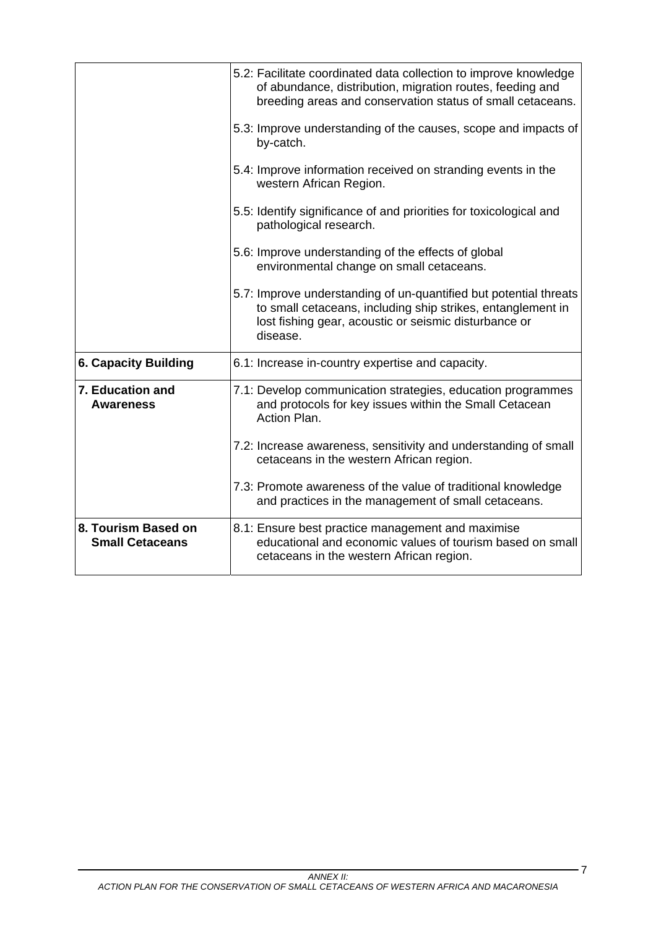|                                               | 5.2: Facilitate coordinated data collection to improve knowledge<br>of abundance, distribution, migration routes, feeding and<br>breeding areas and conservation status of small cetaceans.<br>5.3: Improve understanding of the causes, scope and impacts of<br>by-catch.<br>5.4: Improve information received on stranding events in the<br>western African Region.<br>5.5: Identify significance of and priorities for toxicological and<br>pathological research.<br>5.6: Improve understanding of the effects of global<br>environmental change on small cetaceans.<br>5.7: Improve understanding of un-quantified but potential threats<br>to small cetaceans, including ship strikes, entanglement in<br>lost fishing gear, acoustic or seismic disturbance or<br>disease. |
|-----------------------------------------------|-----------------------------------------------------------------------------------------------------------------------------------------------------------------------------------------------------------------------------------------------------------------------------------------------------------------------------------------------------------------------------------------------------------------------------------------------------------------------------------------------------------------------------------------------------------------------------------------------------------------------------------------------------------------------------------------------------------------------------------------------------------------------------------|
| <b>6. Capacity Building</b>                   | 6.1: Increase in-country expertise and capacity.                                                                                                                                                                                                                                                                                                                                                                                                                                                                                                                                                                                                                                                                                                                                  |
| 7. Education and<br><b>Awareness</b>          | 7.1: Develop communication strategies, education programmes<br>and protocols for key issues within the Small Cetacean<br>Action Plan.                                                                                                                                                                                                                                                                                                                                                                                                                                                                                                                                                                                                                                             |
|                                               | 7.2: Increase awareness, sensitivity and understanding of small<br>cetaceans in the western African region.                                                                                                                                                                                                                                                                                                                                                                                                                                                                                                                                                                                                                                                                       |
|                                               | 7.3: Promote awareness of the value of traditional knowledge<br>and practices in the management of small cetaceans.                                                                                                                                                                                                                                                                                                                                                                                                                                                                                                                                                                                                                                                               |
| 8. Tourism Based on<br><b>Small Cetaceans</b> | 8.1: Ensure best practice management and maximise<br>educational and economic values of tourism based on small<br>cetaceans in the western African region.                                                                                                                                                                                                                                                                                                                                                                                                                                                                                                                                                                                                                        |

7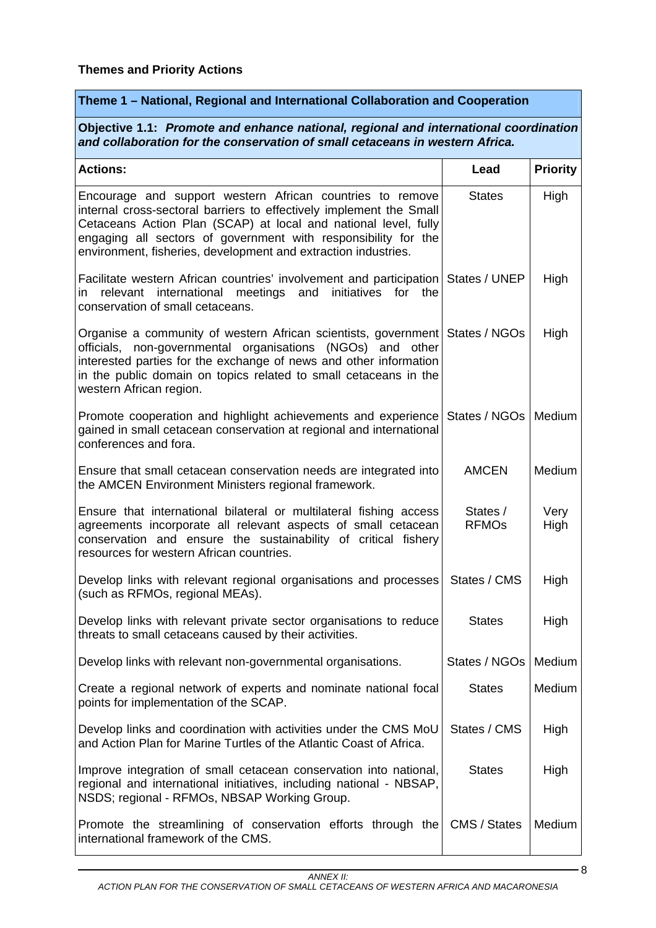## **Theme 1 – National, Regional and International Collaboration and Cooperation**

**Objective 1.1:** *Promote and enhance national, regional and international coordination and collaboration for the conservation of small cetaceans in western Africa.* 

| <b>Actions:</b>                                                                                                                                                                                                                                                                                                                         | Lead                     | <b>Priority</b> |
|-----------------------------------------------------------------------------------------------------------------------------------------------------------------------------------------------------------------------------------------------------------------------------------------------------------------------------------------|--------------------------|-----------------|
| Encourage and support western African countries to remove<br>internal cross-sectoral barriers to effectively implement the Small<br>Cetaceans Action Plan (SCAP) at local and national level, fully<br>engaging all sectors of government with responsibility for the<br>environment, fisheries, development and extraction industries. | <b>States</b>            | High            |
| Facilitate western African countries' involvement and participation<br>in relevant international meetings and<br>initiatives<br>for<br>the<br>conservation of small cetaceans.                                                                                                                                                          | States / UNEP            | High            |
| Organise a community of western African scientists, government<br>non-governmental organisations (NGOs) and other<br>officials,<br>interested parties for the exchange of news and other information<br>in the public domain on topics related to small cetaceans in the<br>western African region.                                     | States / NGOs            | High            |
| Promote cooperation and highlight achievements and experience<br>gained in small cetacean conservation at regional and international<br>conferences and fora.                                                                                                                                                                           | States / NGOs            | Medium          |
| Ensure that small cetacean conservation needs are integrated into<br>the AMCEN Environment Ministers regional framework.                                                                                                                                                                                                                | <b>AMCEN</b>             | <b>Medium</b>   |
| Ensure that international bilateral or multilateral fishing access<br>agreements incorporate all relevant aspects of small cetacean<br>conservation and ensure the sustainability of critical fishery<br>resources for western African countries.                                                                                       | States /<br><b>RFMOs</b> | Very<br>High    |
| Develop links with relevant regional organisations and processes<br>(such as RFMOs, regional MEAs).                                                                                                                                                                                                                                     | States / CMS             | High            |
| Develop links with relevant private sector organisations to reduce<br>threats to small cetaceans caused by their activities.                                                                                                                                                                                                            | <b>States</b>            | High            |
| Develop links with relevant non-governmental organisations.                                                                                                                                                                                                                                                                             | States / NGOs            | Medium          |
| Create a regional network of experts and nominate national focal<br>points for implementation of the SCAP.                                                                                                                                                                                                                              | <b>States</b>            | Medium          |
| Develop links and coordination with activities under the CMS MoU<br>and Action Plan for Marine Turtles of the Atlantic Coast of Africa.                                                                                                                                                                                                 | States / CMS             | High            |
| Improve integration of small cetacean conservation into national,<br>regional and international initiatives, including national - NBSAP,<br>NSDS; regional - RFMOs, NBSAP Working Group.                                                                                                                                                | <b>States</b>            | High            |
| Promote the streamlining of conservation efforts through the<br>international framework of the CMS.                                                                                                                                                                                                                                     | CMS / States             | Medium          |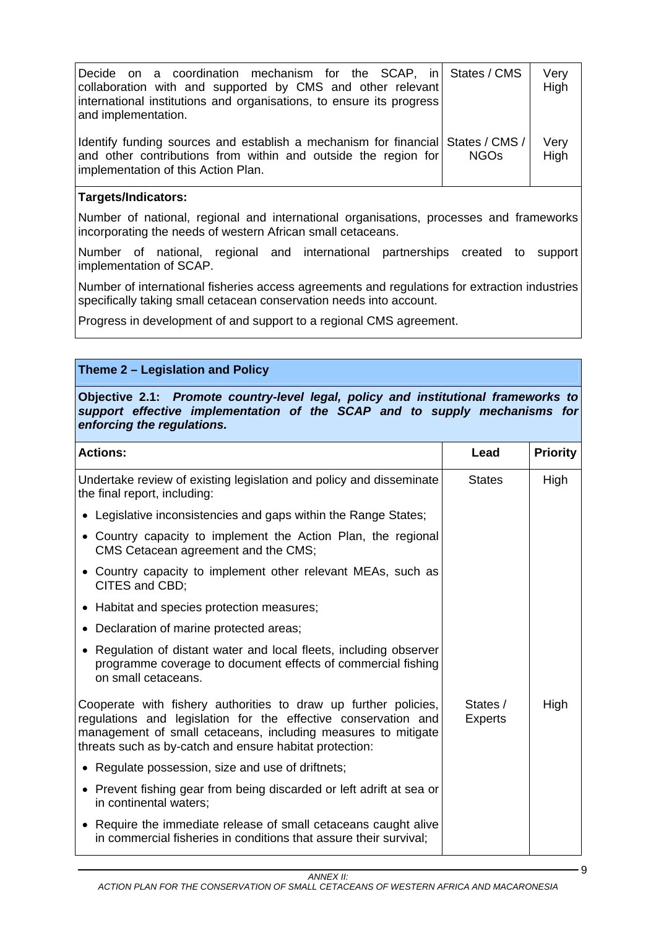| Decide on a coordination mechanism for the SCAP, in States / CMS<br>collaboration with and supported by CMS and other relevant<br>international institutions and organisations, to ensure its progress<br>and implementation. |             | Very<br>High |
|-------------------------------------------------------------------------------------------------------------------------------------------------------------------------------------------------------------------------------|-------------|--------------|
| Identify funding sources and establish a mechanism for financial States / CMS /<br>and other contributions from within and outside the region for<br>implementation of this Action Plan.                                      | <b>NGOS</b> | Very<br>High |

Number of national, regional and international organisations, processes and frameworks incorporating the needs of western African small cetaceans.

Number of national, regional and international partnerships created to support implementation of SCAP.

Number of international fisheries access agreements and regulations for extraction industries specifically taking small cetacean conservation needs into account.

Progress in development of and support to a regional CMS agreement.

# **Theme 2 – Legislation and Policy**

**Objective 2.1:** *Promote country-level legal, policy and institutional frameworks to support effective implementation of the SCAP and to supply mechanisms for enforcing the regulations.* 

| <b>Actions:</b>                                                                                                                                                                                                                                               | Lead                       | <b>Priority</b> |
|---------------------------------------------------------------------------------------------------------------------------------------------------------------------------------------------------------------------------------------------------------------|----------------------------|-----------------|
| Undertake review of existing legislation and policy and disseminate<br>the final report, including:                                                                                                                                                           | <b>States</b>              | High            |
| • Legislative inconsistencies and gaps within the Range States;                                                                                                                                                                                               |                            |                 |
| • Country capacity to implement the Action Plan, the regional<br>CMS Cetacean agreement and the CMS;                                                                                                                                                          |                            |                 |
| • Country capacity to implement other relevant MEAs, such as<br>CITES and CBD;                                                                                                                                                                                |                            |                 |
| • Habitat and species protection measures;                                                                                                                                                                                                                    |                            |                 |
| • Declaration of marine protected areas;                                                                                                                                                                                                                      |                            |                 |
| • Regulation of distant water and local fleets, including observer<br>programme coverage to document effects of commercial fishing<br>on small cetaceans.                                                                                                     |                            |                 |
| Cooperate with fishery authorities to draw up further policies,<br>regulations and legislation for the effective conservation and<br>management of small cetaceans, including measures to mitigate<br>threats such as by-catch and ensure habitat protection: | States /<br><b>Experts</b> | High            |
| • Regulate possession, size and use of driftnets;                                                                                                                                                                                                             |                            |                 |
| • Prevent fishing gear from being discarded or left adrift at sea or<br>in continental waters;                                                                                                                                                                |                            |                 |
| • Require the immediate release of small cetaceans caught alive<br>in commercial fisheries in conditions that assure their survival:                                                                                                                          |                            |                 |

9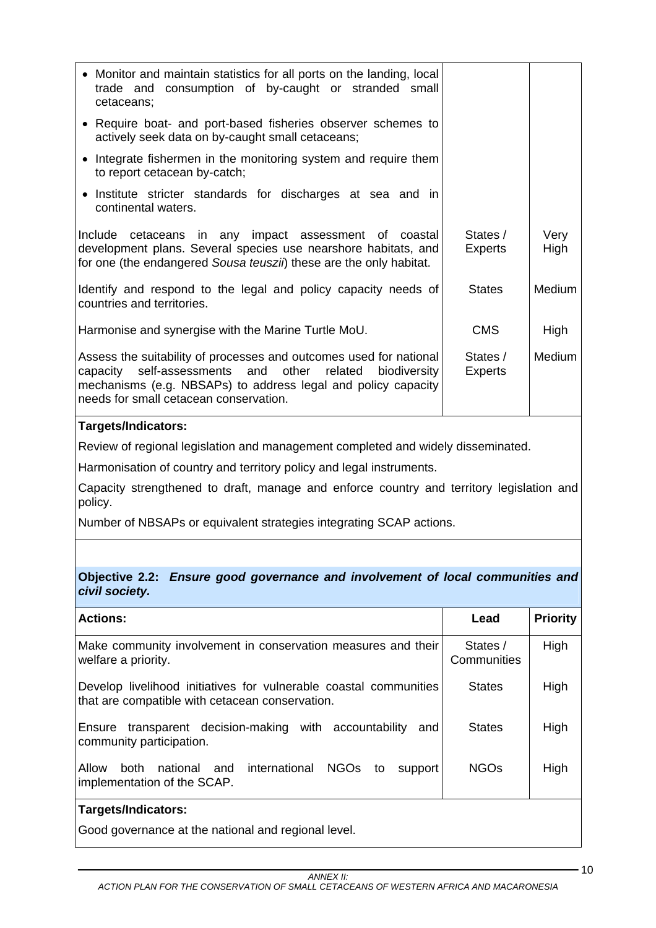| • Monitor and maintain statistics for all ports on the landing, local<br>trade and consumption of by-caught or stranded small<br>cetaceans;                                                                                                  |                            |               |
|----------------------------------------------------------------------------------------------------------------------------------------------------------------------------------------------------------------------------------------------|----------------------------|---------------|
| • Require boat- and port-based fisheries observer schemes to<br>actively seek data on by-caught small cetaceans;                                                                                                                             |                            |               |
| • Integrate fishermen in the monitoring system and require them<br>to report cetacean by-catch;                                                                                                                                              |                            |               |
| Institute stricter standards for discharges at sea and in<br>continental waters.                                                                                                                                                             |                            |               |
| Include cetaceans in any impact assessment of coastal<br>development plans. Several species use nearshore habitats, and<br>for one (the endangered Sousa teuszii) these are the only habitat.                                                | States /<br><b>Experts</b> | Very<br>High  |
| Identify and respond to the legal and policy capacity needs of<br>countries and territories.                                                                                                                                                 | <b>States</b>              | <b>Medium</b> |
| Harmonise and synergise with the Marine Turtle MoU.                                                                                                                                                                                          | <b>CMS</b>                 | High          |
| Assess the suitability of processes and outcomes used for national<br>capacity self-assessments and other related<br>biodiversity<br>mechanisms (e.g. NBSAPs) to address legal and policy capacity<br>needs for small cetacean conservation. | States /<br><b>Experts</b> | <b>Medium</b> |
|                                                                                                                                                                                                                                              |                            |               |

Review of regional legislation and management completed and widely disseminated.

Harmonisation of country and territory policy and legal instruments.

Capacity strengthened to draft, manage and enforce country and territory legislation and policy.

Number of NBSAPs or equivalent strategies integrating SCAP actions.

### **Objective 2.2:** *Ensure good governance and involvement of local communities and civil society.*

| <b>Actions:</b>                                                                                                                | Lead                    | <b>Priority</b> |
|--------------------------------------------------------------------------------------------------------------------------------|-------------------------|-----------------|
| Make community involvement in conservation measures and their<br>welfare a priority.                                           | States /<br>Communities | High            |
| Develop livelihood initiatives for vulnerable coastal communities<br>that are compatible with cetacean conservation.           | <b>States</b>           | High            |
| transparent decision-making with accountability<br>Ensure<br>and<br>community participation.                                   | <b>States</b>           | High            |
| international<br><b>NGOs</b><br>and<br><b>Allow</b><br><b>both</b><br>national<br>to<br>support<br>implementation of the SCAP. | <b>NGOs</b>             | High            |
| Targets/Indicators:                                                                                                            |                         |                 |

Good governance at the national and regional level.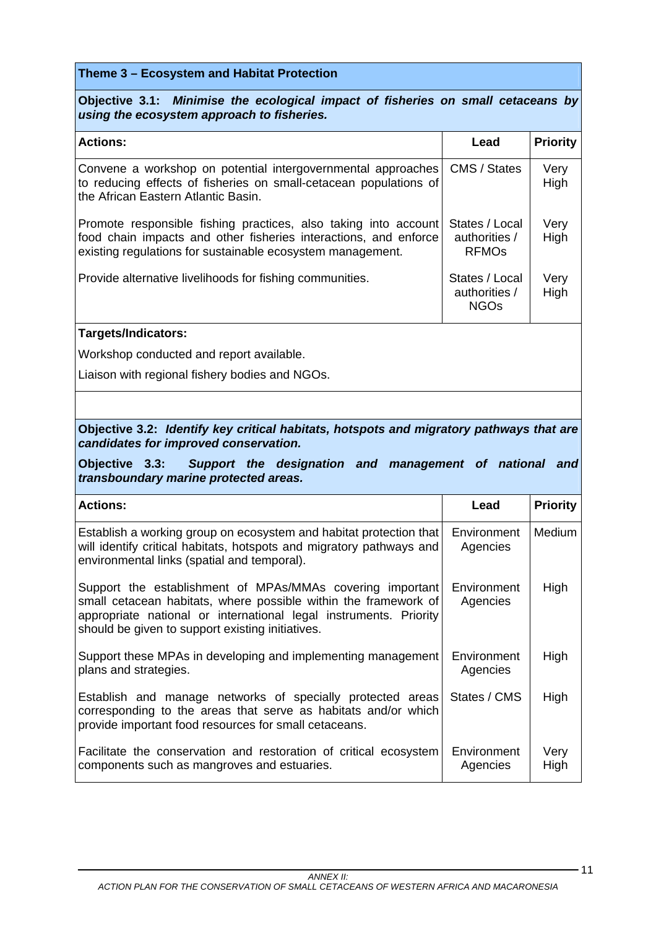## **Theme 3 – Ecosystem and Habitat Protection**

**Objective 3.1:** *Minimise the ecological impact of fisheries on small cetaceans by using the ecosystem approach to fisheries.* 

| <b>Actions:</b>                                                                                                                                                                                   | Lead                                                       | <b>Priority</b> |
|---------------------------------------------------------------------------------------------------------------------------------------------------------------------------------------------------|------------------------------------------------------------|-----------------|
| Convene a workshop on potential intergovernmental approaches<br>to reducing effects of fisheries on small-cetacean populations of<br>the African Eastern Atlantic Basin.                          | CMS / States                                               | Very<br>High    |
| Promote responsible fishing practices, also taking into account<br>food chain impacts and other fisheries interactions, and enforce<br>existing regulations for sustainable ecosystem management. | States / Local<br>authorities /<br><b>RFMO<sub>s</sub></b> | Very<br>High    |
| Provide alternative livelihoods for fishing communities.                                                                                                                                          | States / Local<br>authorities /<br><b>NGOs</b>             | Very<br>High    |

### **Targets/Indicators:**

Workshop conducted and report available.

Liaison with regional fishery bodies and NGOs.

## **Objective 3.2:** *Identify key critical habitats, hotspots and migratory pathways that are candidates for improved conservation.*

**Objective 3.3:** *Support the designation and management of national and transboundary marine protected areas.* 

| <b>Actions:</b>                                                                                                                                                                                                                                       | Lead                    | <b>Priority</b> |
|-------------------------------------------------------------------------------------------------------------------------------------------------------------------------------------------------------------------------------------------------------|-------------------------|-----------------|
| Establish a working group on ecosystem and habitat protection that<br>will identify critical habitats, hotspots and migratory pathways and<br>environmental links (spatial and temporal).                                                             | Environment<br>Agencies | Medium          |
| Support the establishment of MPAs/MMAs covering important<br>small cetacean habitats, where possible within the framework of<br>appropriate national or international legal instruments. Priority<br>should be given to support existing initiatives. | Environment<br>Agencies | High            |
| Support these MPAs in developing and implementing management<br>plans and strategies.                                                                                                                                                                 | Environment<br>Agencies | High            |
| Establish and manage networks of specially protected areas<br>corresponding to the areas that serve as habitats and/or which<br>provide important food resources for small cetaceans.                                                                 | States / CMS            | High            |
| Facilitate the conservation and restoration of critical ecosystem<br>components such as mangroves and estuaries.                                                                                                                                      | Environment<br>Agencies | Very<br>High    |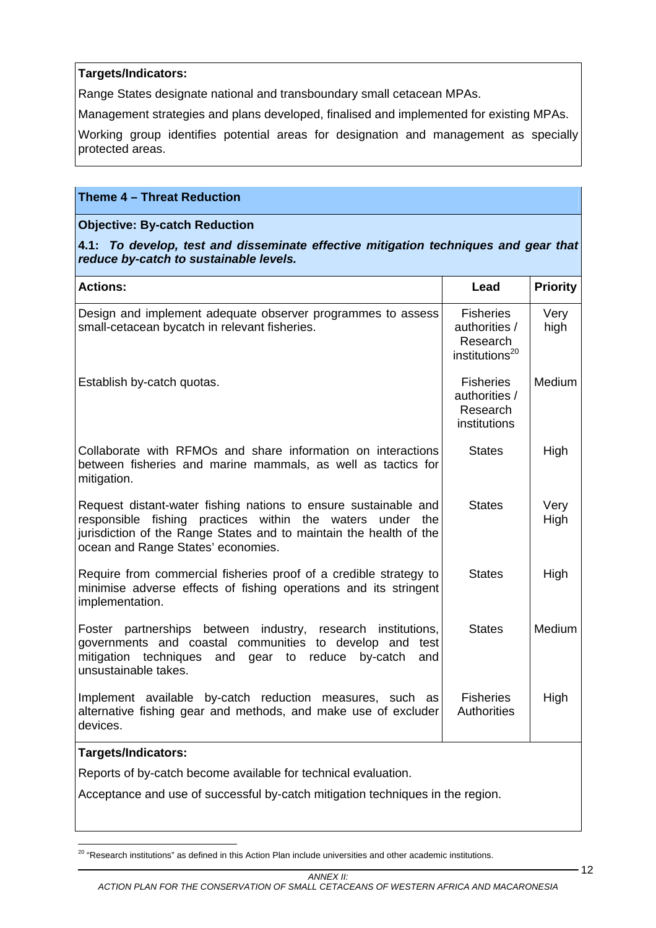Range States designate national and transboundary small cetacean MPAs.

Management strategies and plans developed, finalised and implemented for existing MPAs.

Working group identifies potential areas for designation and management as specially protected areas.

## **Theme 4 – Threat Reduction**

## **Objective: By-catch Reduction**

**4.1:** *To develop, test and disseminate effective mitigation techniques and gear that reduce by-catch to sustainable levels.*

| <b>Actions:</b>                                                                                                                                                                                                                          | Lead                                                                        | <b>Priority</b> |
|------------------------------------------------------------------------------------------------------------------------------------------------------------------------------------------------------------------------------------------|-----------------------------------------------------------------------------|-----------------|
| Design and implement adequate observer programmes to assess<br>small-cetacean bycatch in relevant fisheries.                                                                                                                             | <b>Fisheries</b><br>authorities /<br>Research<br>institutions <sup>20</sup> | Very<br>high    |
| Establish by-catch quotas.                                                                                                                                                                                                               | <b>Fisheries</b><br>authorities /<br>Research<br>institutions               | Medium          |
| Collaborate with RFMOs and share information on interactions<br>between fisheries and marine mammals, as well as tactics for<br>mitigation.                                                                                              | <b>States</b>                                                               | High            |
| Request distant-water fishing nations to ensure sustainable and<br>responsible fishing practices within the waters under the<br>jurisdiction of the Range States and to maintain the health of the<br>ocean and Range States' economies. | <b>States</b>                                                               | Very<br>High    |
| Require from commercial fisheries proof of a credible strategy to<br>minimise adverse effects of fishing operations and its stringent<br>implementation.                                                                                 | <b>States</b>                                                               | High            |
| partnerships between industry, research institutions,<br>Foster<br>governments and coastal communities to develop and test<br>mitigation techniques<br>and gear<br>reduce<br>to<br>by-catch<br>and<br>unsustainable takes.               | <b>States</b>                                                               | Medium          |
| Implement available by-catch reduction measures, such as<br>alternative fishing gear and methods, and make use of excluder<br>devices.                                                                                                   | <b>Fisheries</b><br><b>Authorities</b>                                      | High            |
| Targets/Indicators:                                                                                                                                                                                                                      |                                                                             |                 |
| Reports of by-catch become available for technical evaluation.                                                                                                                                                                           |                                                                             |                 |
| Acceptance and use of successful by-catch mitigation techniques in the region.                                                                                                                                                           |                                                                             |                 |

 $\overline{a}$  $^{20}$  "Research institutions" as defined in this Action Plan include universities and other academic institutions.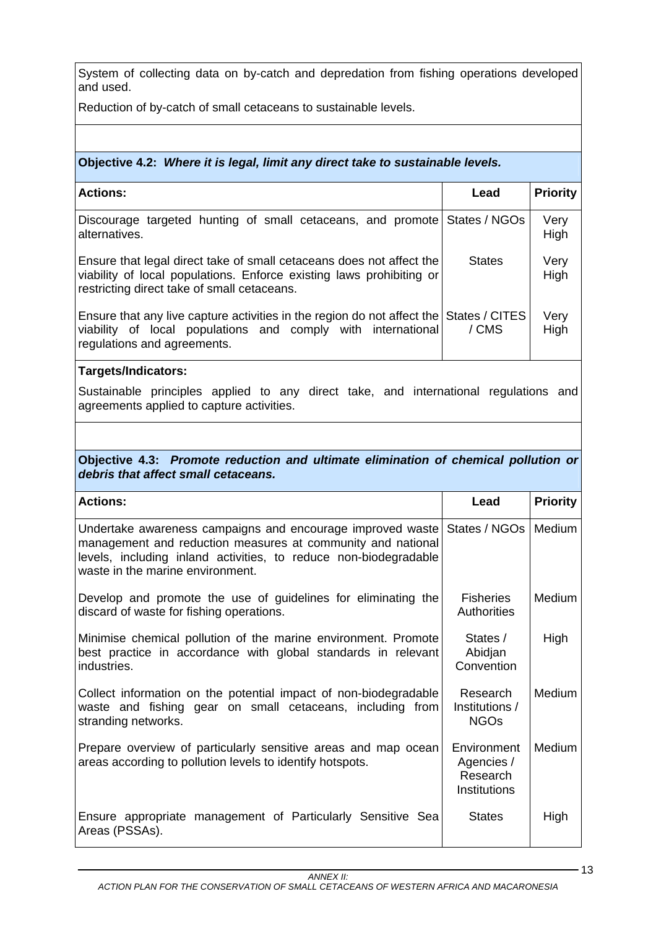System of collecting data on by-catch and depredation from fishing operations developed and used.

Reduction of by-catch of small cetaceans to sustainable levels.

## **Objective 4.2:** *Where it is legal, limit any direct take to sustainable levels.*

| <b>Actions:</b>                                                                                                                                                                             | Lead          | <b>Priority</b> |
|---------------------------------------------------------------------------------------------------------------------------------------------------------------------------------------------|---------------|-----------------|
| Discourage targeted hunting of small cetaceans, and promote States / NGOs<br>alternatives.                                                                                                  |               | Very<br>High    |
| Ensure that legal direct take of small cetaceans does not affect the<br>viability of local populations. Enforce existing laws prohibiting or<br>restricting direct take of small cetaceans. | <b>States</b> | Very<br>High    |
| Ensure that any live capture activities in the region do not affect the States / CITES<br>viability of local populations and comply with international<br>regulations and agreements.       | / CMS         | Very<br>High    |

### **Targets/Indicators:**

Sustainable principles applied to any direct take, and international regulations and agreements applied to capture activities.

#### **Objective 4.3:** *Promote reduction and ultimate elimination of chemical pollution or debris that affect small cetaceans.*

| <b>Actions:</b>                                                                                                                                                                                                                   | Lead                                                         | <b>Priority</b> |
|-----------------------------------------------------------------------------------------------------------------------------------------------------------------------------------------------------------------------------------|--------------------------------------------------------------|-----------------|
| Undertake awareness campaigns and encourage improved waste<br>management and reduction measures at community and national<br>levels, including inland activities, to reduce non-biodegradable<br>waste in the marine environment. | States / NGOs                                                | Medium          |
| Develop and promote the use of guidelines for eliminating the<br>discard of waste for fishing operations.                                                                                                                         | <b>Fisheries</b><br><b>Authorities</b>                       | Medium          |
| Minimise chemical pollution of the marine environment. Promote<br>best practice in accordance with global standards in relevant<br>industries.                                                                                    | States /<br>Abidjan<br>Convention                            | High            |
| Collect information on the potential impact of non-biodegradable<br>waste and fishing gear on small cetaceans, including from<br>stranding networks.                                                                              | Research<br>Institutions /<br><b>NGOs</b>                    | Medium          |
| Prepare overview of particularly sensitive areas and map ocean<br>areas according to pollution levels to identify hotspots.                                                                                                       | Environment<br>Agencies /<br>Research<br><b>Institutions</b> | Medium          |
| Ensure appropriate management of Particularly Sensitive Sea<br>Areas (PSSAs).                                                                                                                                                     | <b>States</b>                                                | High            |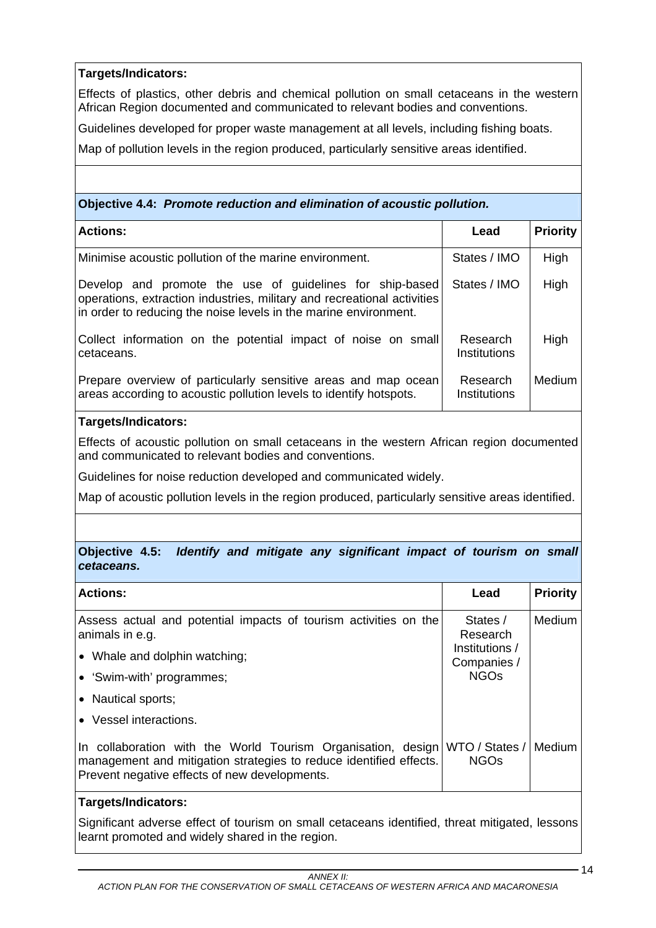Effects of plastics, other debris and chemical pollution on small cetaceans in the western African Region documented and communicated to relevant bodies and conventions.

Guidelines developed for proper waste management at all levels, including fishing boats.

Map of pollution levels in the region produced, particularly sensitive areas identified.

**Objective 4.4:** *Promote reduction and elimination of acoustic pollution.* 

| <b>Actions:</b>                                                                                                                                                                                         | Lead                     | <b>Priority</b> |
|---------------------------------------------------------------------------------------------------------------------------------------------------------------------------------------------------------|--------------------------|-----------------|
| Minimise acoustic pollution of the marine environment.                                                                                                                                                  | States / IMO             | High            |
| Develop and promote the use of guidelines for ship-based<br>operations, extraction industries, military and recreational activities<br>in order to reducing the noise levels in the marine environment. | States / IMO             | High            |
| Collect information on the potential impact of noise on small<br>cetaceans.                                                                                                                             | Research<br>Institutions | High            |
| Prepare overview of particularly sensitive areas and map ocean<br>areas according to acoustic pollution levels to identify hotspots.                                                                    | Research<br>Institutions | <b>Medium</b>   |

## **Targets/Indicators:**

Effects of acoustic pollution on small cetaceans in the western African region documented and communicated to relevant bodies and conventions.

Guidelines for noise reduction developed and communicated widely.

Map of acoustic pollution levels in the region produced, particularly sensitive areas identified.

## **Objective 4.5:** *Identify and mitigate any significant impact of tourism on small cetaceans.*

| <b>Actions:</b>                                                                                                                                                                                    | Lead                          | <b>Priority</b> |
|----------------------------------------------------------------------------------------------------------------------------------------------------------------------------------------------------|-------------------------------|-----------------|
| Assess actual and potential impacts of tourism activities on the<br>animals in e.g.                                                                                                                | States /<br>Research          | Medium          |
| • Whale and dolphin watching;                                                                                                                                                                      | Institutions /<br>Companies / |                 |
| • 'Swim-with' programmes;                                                                                                                                                                          | <b>NGOs</b>                   |                 |
| • Nautical sports;                                                                                                                                                                                 |                               |                 |
| • Vessel interactions.                                                                                                                                                                             |                               |                 |
| In collaboration with the World Tourism Organisation, design WTO / States /<br>management and mitigation strategies to reduce identified effects.<br>Prevent negative effects of new developments. | <b>NGOs</b>                   | Medium          |

## **Targets/Indicators:**

Significant adverse effect of tourism on small cetaceans identified, threat mitigated, lessons learnt promoted and widely shared in the region.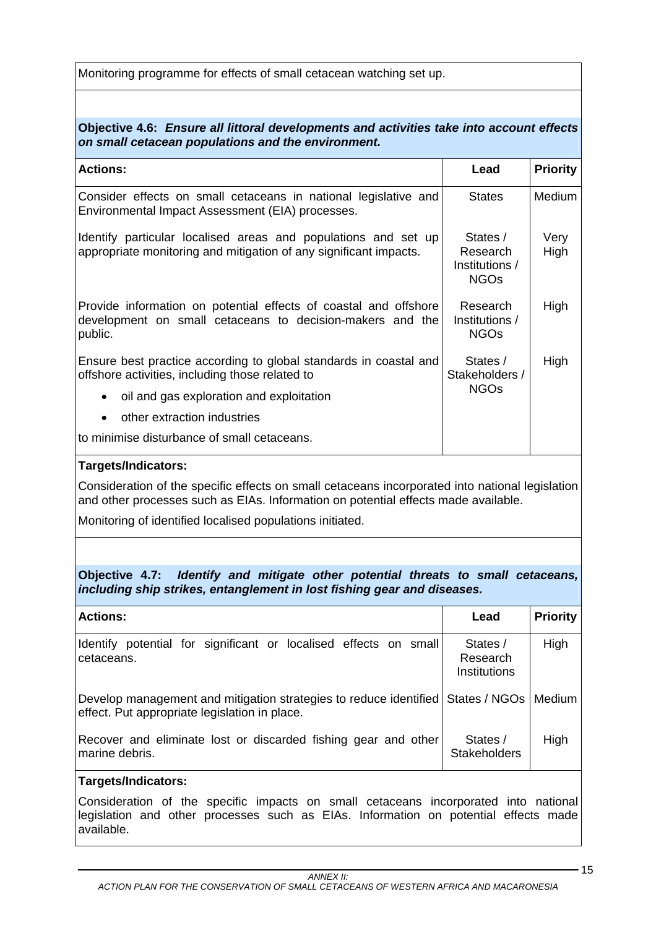Monitoring programme for effects of small cetacean watching set up.

## **Objective 4.6:** *Ensure all littoral developments and activities take into account effects on small cetacean populations and the environment.*

| <b>Actions:</b>                                                                                                                          | Lead                                                  | <b>Priority</b> |
|------------------------------------------------------------------------------------------------------------------------------------------|-------------------------------------------------------|-----------------|
| Consider effects on small cetaceans in national legislative and<br>Environmental Impact Assessment (EIA) processes.                      | <b>States</b>                                         | Medium          |
| Identify particular localised areas and populations and set up<br>appropriate monitoring and mitigation of any significant impacts.      | States /<br>Research<br>Institutions /<br><b>NGOs</b> | Very<br>High    |
| Provide information on potential effects of coastal and offshore<br>development on small cetaceans to decision-makers and the<br>public. | Research<br>Institutions /<br><b>NGOs</b>             | High            |
| Ensure best practice according to global standards in coastal and<br>offshore activities, including those related to                     | States /<br>Stakeholders /                            | High            |
| oil and gas exploration and exploitation<br>$\bullet$                                                                                    | <b>NGOs</b>                                           |                 |
| other extraction industries<br>٠                                                                                                         |                                                       |                 |
| to minimise disturbance of small cetaceans.                                                                                              |                                                       |                 |

### **Targets/Indicators:**

Consideration of the specific effects on small cetaceans incorporated into national legislation and other processes such as EIAs. Information on potential effects made available.

Monitoring of identified localised populations initiated.

**Objective 4.7:** *Identify and mitigate other potential threats to small cetaceans, including ship strikes, entanglement in lost fishing gear and diseases.* 

| <b>Actions:</b>                                                                                                                  | Lead                                 | <b>Priority</b> |
|----------------------------------------------------------------------------------------------------------------------------------|--------------------------------------|-----------------|
| potential for significant or localised effects on small<br>Identify<br>cetaceans.                                                | States /<br>Research<br>Institutions | High            |
| Develop management and mitigation strategies to reduce identified States / NGOs<br>effect. Put appropriate legislation in place. |                                      | Medium          |
| Recover and eliminate lost or discarded fishing gear and other<br>l marine debris.                                               | States /<br><b>Stakeholders</b>      | High            |

## **Targets/Indicators:**

Consideration of the specific impacts on small cetaceans incorporated into national legislation and other processes such as EIAs. Information on potential effects made available.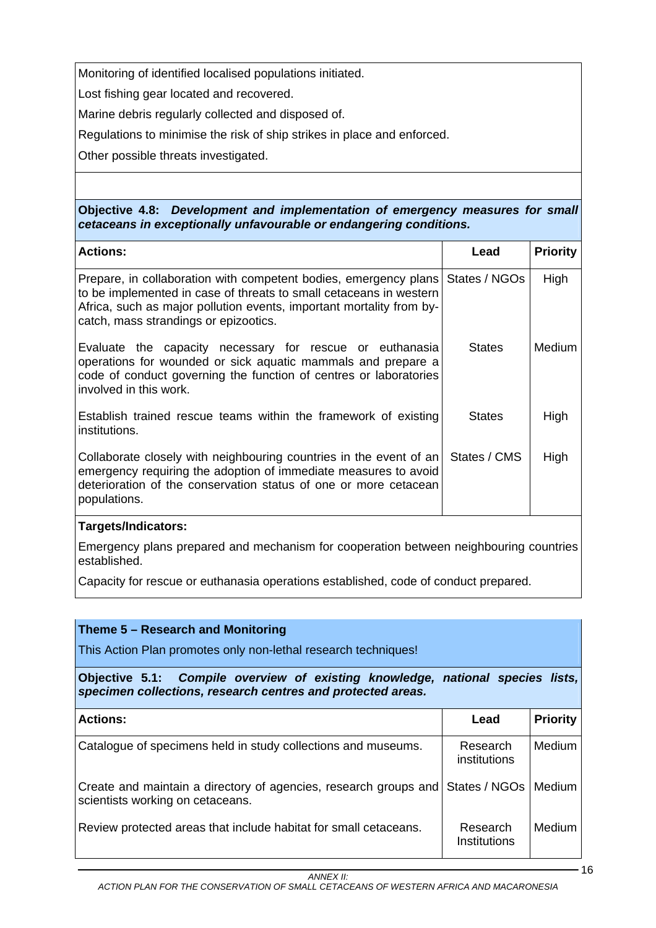Monitoring of identified localised populations initiated.

Lost fishing gear located and recovered.

Marine debris regularly collected and disposed of.

Regulations to minimise the risk of ship strikes in place and enforced.

Other possible threats investigated.

**Objective 4.8:** *Development and implementation of emergency measures for small cetaceans in exceptionally unfavourable or endangering conditions.* 

| <b>Actions:</b>                                                                                                                                                                                                                                         | Lead          | <b>Priority</b> |
|---------------------------------------------------------------------------------------------------------------------------------------------------------------------------------------------------------------------------------------------------------|---------------|-----------------|
| Prepare, in collaboration with competent bodies, emergency plans<br>to be implemented in case of threats to small cetaceans in western<br>Africa, such as major pollution events, important mortality from by-<br>catch, mass strandings or epizootics. | States / NGOs | High            |
| Evaluate the capacity necessary for rescue or euthanasia<br>operations for wounded or sick aquatic mammals and prepare a<br>code of conduct governing the function of centres or laboratories<br>involved in this work.                                 | <b>States</b> | <b>Medium</b>   |
| Establish trained rescue teams within the framework of existing<br>institutions.                                                                                                                                                                        | <b>States</b> | High            |
| Collaborate closely with neighbouring countries in the event of an<br>emergency requiring the adoption of immediate measures to avoid<br>deterioration of the conservation status of one or more cetacean<br>populations.                               | States / CMS  | High            |

## **Targets/Indicators:**

Emergency plans prepared and mechanism for cooperation between neighbouring countries established.

Capacity for rescue or euthanasia operations established, code of conduct prepared.

| Theme 5 – Research and Monitoring<br>This Action Plan promotes only non-lethal research techniques!                                           |                          |                 |
|-----------------------------------------------------------------------------------------------------------------------------------------------|--------------------------|-----------------|
| Objective 5.1: Compile overview of existing knowledge, national species lists,<br>specimen collections, research centres and protected areas. |                          |                 |
| <b>Actions:</b>                                                                                                                               | Lead                     | <b>Priority</b> |
| Catalogue of specimens held in study collections and museums.                                                                                 | Research<br>institutions | Medium          |
| Create and maintain a directory of agencies, research groups and<br>scientists working on cetaceans.                                          | States / NGOs            | Medium          |
| Review protected areas that include habitat for small cetaceans.                                                                              | Research<br>Institutions | Medium          |

 $-16$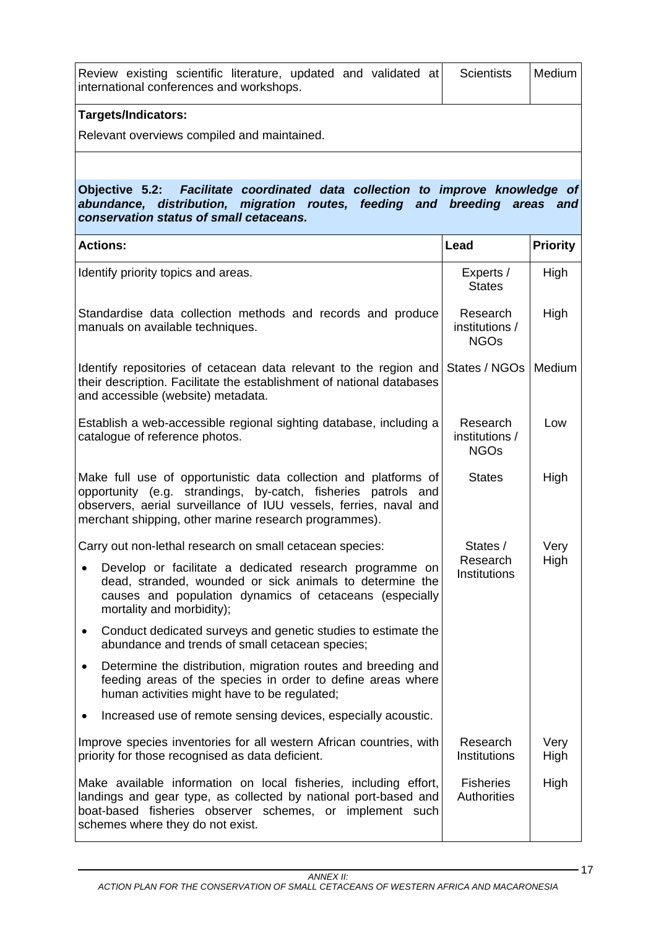| <b>Targets/Indicators:</b>                                                                                  |  |  |                   |        |
|-------------------------------------------------------------------------------------------------------------|--|--|-------------------|--------|
| Review existing scientific literature, updated and validated at<br>international conferences and workshops. |  |  | <b>Scientists</b> | Medium |
|                                                                                                             |  |  |                   |        |

Relevant overviews compiled and maintained.

## **Objective 5.2:** *Facilitate coordinated data collection to improve knowledge of abundance, distribution, migration routes, feeding and breeding areas and conservation status of small cetaceans.*

| <b>Actions:</b>                                                                                                                                                                                                                                                | Lead                                      | <b>Priority</b> |
|----------------------------------------------------------------------------------------------------------------------------------------------------------------------------------------------------------------------------------------------------------------|-------------------------------------------|-----------------|
| Identify priority topics and areas.                                                                                                                                                                                                                            | Experts /<br><b>States</b>                | High            |
| Standardise data collection methods and records and produce<br>manuals on available techniques.                                                                                                                                                                | Research<br>institutions /<br><b>NGOs</b> | High            |
| Identify repositories of cetacean data relevant to the region and<br>their description. Facilitate the establishment of national databases<br>and accessible (website) metadata.                                                                               | States / NGOs                             | Medium          |
| Establish a web-accessible regional sighting database, including a<br>catalogue of reference photos.                                                                                                                                                           | Research<br>institutions /<br><b>NGOs</b> | Low             |
| Make full use of opportunistic data collection and platforms of<br>opportunity (e.g. strandings, by-catch, fisheries patrols and<br>observers, aerial surveillance of IUU vessels, ferries, naval and<br>merchant shipping, other marine research programmes). | <b>States</b>                             | High            |
| Carry out non-lethal research on small cetacean species:                                                                                                                                                                                                       | States /                                  | Very            |
| Develop or facilitate a dedicated research programme on<br>dead, stranded, wounded or sick animals to determine the<br>causes and population dynamics of cetaceans (especially<br>mortality and morbidity);                                                    | Research<br><b>Institutions</b>           | High            |
| Conduct dedicated surveys and genetic studies to estimate the<br>٠<br>abundance and trends of small cetacean species;                                                                                                                                          |                                           |                 |
| Determine the distribution, migration routes and breeding and<br>$\bullet$<br>feeding areas of the species in order to define areas where<br>human activities might have to be regulated;                                                                      |                                           |                 |
| Increased use of remote sensing devices, especially acoustic.                                                                                                                                                                                                  |                                           |                 |
| Improve species inventories for all western African countries, with<br>priority for those recognised as data deficient.                                                                                                                                        | Research<br><b>Institutions</b>           | Very<br>High    |
| Make available information on local fisheries, including effort,<br>landings and gear type, as collected by national port-based and<br>boat-based fisheries observer schemes, or implement such<br>schemes where they do not exist.                            | <b>Fisheries</b><br>Authorities           | High            |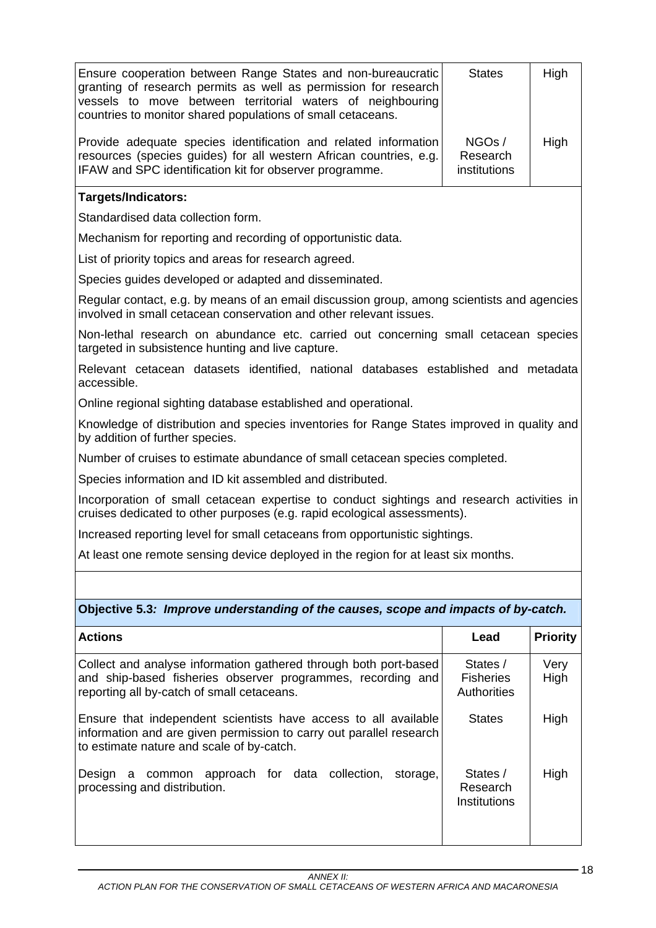| Ensure cooperation between Range States and non-bureaucratic<br>granting of research permits as well as permission for research<br>vessels to move between territorial waters of neighbouring<br>countries to monitor shared populations of small cetaceans. | <b>States</b>                                      | High            |
|--------------------------------------------------------------------------------------------------------------------------------------------------------------------------------------------------------------------------------------------------------------|----------------------------------------------------|-----------------|
| Provide adequate species identification and related information<br>resources (species guides) for all western African countries, e.g.<br>IFAW and SPC identification kit for observer programme.                                                             | NGOs/<br>Research<br>institutions                  | High            |
| <b>Targets/Indicators:</b>                                                                                                                                                                                                                                   |                                                    |                 |
| Standardised data collection form.                                                                                                                                                                                                                           |                                                    |                 |
| Mechanism for reporting and recording of opportunistic data.                                                                                                                                                                                                 |                                                    |                 |
| List of priority topics and areas for research agreed.                                                                                                                                                                                                       |                                                    |                 |
| Species guides developed or adapted and disseminated.                                                                                                                                                                                                        |                                                    |                 |
| Regular contact, e.g. by means of an email discussion group, among scientists and agencies<br>involved in small cetacean conservation and other relevant issues.                                                                                             |                                                    |                 |
| Non-lethal research on abundance etc. carried out concerning small cetacean species<br>targeted in subsistence hunting and live capture.                                                                                                                     |                                                    |                 |
| Relevant cetacean datasets identified, national databases established and metadata<br>accessible.                                                                                                                                                            |                                                    |                 |
| Online regional sighting database established and operational.                                                                                                                                                                                               |                                                    |                 |
| Knowledge of distribution and species inventories for Range States improved in quality and<br>by addition of further species.                                                                                                                                |                                                    |                 |
| Number of cruises to estimate abundance of small cetacean species completed.                                                                                                                                                                                 |                                                    |                 |
| Species information and ID kit assembled and distributed.                                                                                                                                                                                                    |                                                    |                 |
| Incorporation of small cetacean expertise to conduct sightings and research activities in<br>cruises dedicated to other purposes (e.g. rapid ecological assessments).                                                                                        |                                                    |                 |
| Increased reporting level for small cetaceans from opportunistic sightings.                                                                                                                                                                                  |                                                    |                 |
| At least one remote sensing device deployed in the region for at least six months.                                                                                                                                                                           |                                                    |                 |
|                                                                                                                                                                                                                                                              |                                                    |                 |
| Objective 5.3: Improve understanding of the causes, scope and impacts of by-catch.                                                                                                                                                                           |                                                    |                 |
| <b>Actions</b>                                                                                                                                                                                                                                               | Lead                                               | <b>Priority</b> |
| Collect and analyse information gathered through both port-based<br>and ship-based fisheries observer programmes, recording and<br>reporting all by-catch of small cetaceans.                                                                                | States /<br><b>Fisheries</b><br><b>Authorities</b> | Very<br>High    |
| Ensure that independent scientists have access to all available<br>information and are given permission to carry out parallel research<br>to estimate nature and scale of by-catch.                                                                          | <b>States</b>                                      | High            |
| common approach for data collection,<br>Design<br>storage,<br>a<br>processing and distribution.                                                                                                                                                              | States /<br>Research<br>Institutions               | High            |
|                                                                                                                                                                                                                                                              |                                                    |                 |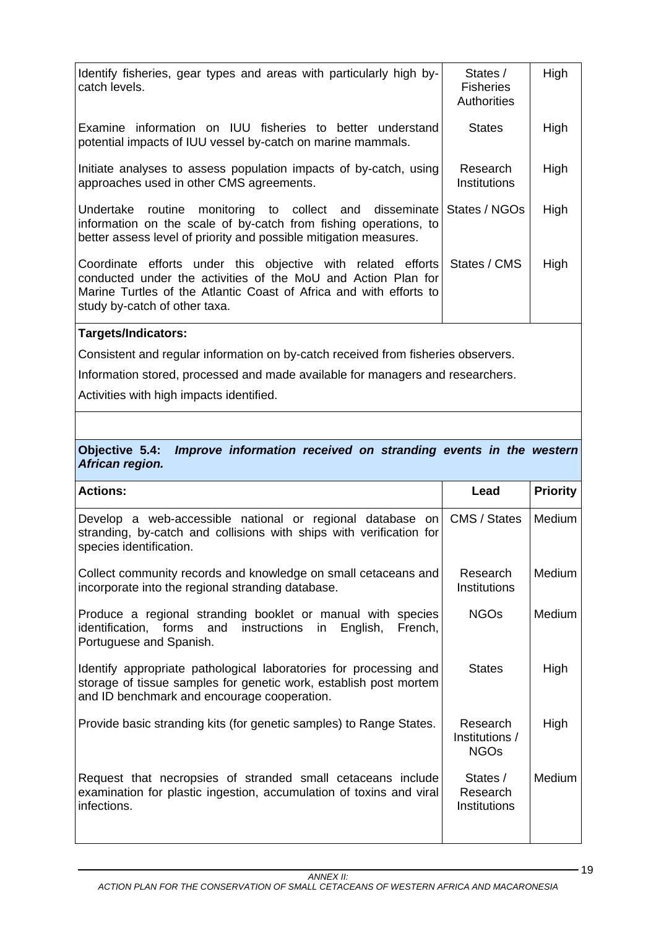| Identify fisheries, gear types and areas with particularly high by-<br>catch levels.                                                                                                                                                              | States /<br><b>Fisheries</b><br><b>Authorities</b> | High |
|---------------------------------------------------------------------------------------------------------------------------------------------------------------------------------------------------------------------------------------------------|----------------------------------------------------|------|
| Examine information on IUU fisheries to better understand<br>potential impacts of IUU vessel by-catch on marine mammals.                                                                                                                          | <b>States</b>                                      | High |
| Initiate analyses to assess population impacts of by-catch, using<br>approaches used in other CMS agreements.                                                                                                                                     | Research<br>Institutions                           | High |
| Undertake routine monitoring to collect and disseminate States / NGOs<br>information on the scale of by-catch from fishing operations, to<br>better assess level of priority and possible mitigation measures.                                    |                                                    | High |
| Coordinate efforts under this objective with related efforts States / CMS<br>conducted under the activities of the MoU and Action Plan for<br>Marine Turtles of the Atlantic Coast of Africa and with efforts to<br>study by-catch of other taxa. |                                                    | High |

Consistent and regular information on by-catch received from fisheries observers.

Information stored, processed and made available for managers and researchers.

Activities with high impacts identified.

### **Objective 5.4:** *Improve information received on stranding events in the western African region.*

| <b>Actions:</b>                                                                                                                                                                       | Lead                                                 | <b>Priority</b> |
|---------------------------------------------------------------------------------------------------------------------------------------------------------------------------------------|------------------------------------------------------|-----------------|
| Develop a web-accessible national or regional database on<br>stranding, by-catch and collisions with ships with verification for<br>species identification.                           | CMS / States                                         | Medium          |
| Collect community records and knowledge on small cetaceans and<br>incorporate into the regional stranding database.                                                                   | Research<br>Institutions                             | Medium          |
| Produce a regional stranding booklet or manual with species<br>identification, forms and instructions<br>in<br>English,<br>French,<br>Portuguese and Spanish.                         | <b>NGOs</b>                                          | Medium          |
| Identify appropriate pathological laboratories for processing and<br>storage of tissue samples for genetic work, establish post mortem<br>and ID benchmark and encourage cooperation. | <b>States</b>                                        | High            |
| Provide basic stranding kits (for genetic samples) to Range States.                                                                                                                   | Research<br>Institutions /<br><b>NGO<sub>S</sub></b> | High            |
| Request that necropsies of stranded small cetaceans include<br>examination for plastic ingestion, accumulation of toxins and viral<br>infections.                                     | States /<br>Research<br>Institutions                 | Medium          |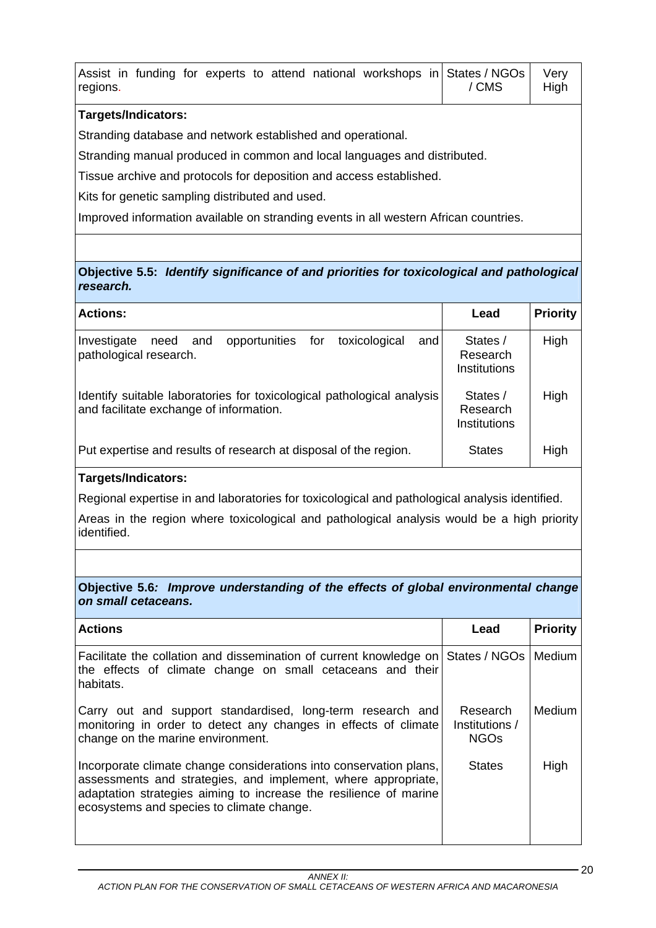| Assist in funding for experts to attend national workshops in States / NGOs<br>regions. | / CMS | Very<br>High |
|-----------------------------------------------------------------------------------------|-------|--------------|
| <b>Targets/Indicators:</b>                                                              |       |              |
| Stranding database and network established and operational.                             |       |              |
| Stranding manual produced in common and local languages and distributed.                |       |              |
| Tissue archive and protocols for deposition and access established.                     |       |              |
| Kits for genetic sampling distributed and used.                                         |       |              |
| Improved information available on stranding events in all western African countries.    |       |              |
|                                                                                         |       |              |

## **Objective 5.5:** *Identify significance of and priorities for toxicological and pathological research.*

| <b>Actions:</b>                                                                                                   | Lead                                 | <b>Priority</b> |
|-------------------------------------------------------------------------------------------------------------------|--------------------------------------|-----------------|
| opportunities<br>toxicological<br>for<br>Investigate<br>need<br>and<br>and<br>pathological research.              | States /<br>Research<br>Institutions | High            |
| Identify suitable laboratories for toxicological pathological analysis<br>and facilitate exchange of information. | States /<br>Research<br>Institutions | High            |
| Put expertise and results of research at disposal of the region.                                                  | <b>States</b>                        | High            |

## **Targets/Indicators:**

Regional expertise in and laboratories for toxicological and pathological analysis identified.

Areas in the region where toxicological and pathological analysis would be a high priority identified.

## **Objective 5.6***: Improve understanding of the effects of global environmental change on small cetaceans.*

| <b>Actions</b>                                                                                                                                                                                                                                        | Lead                                      | <b>Priority</b> |
|-------------------------------------------------------------------------------------------------------------------------------------------------------------------------------------------------------------------------------------------------------|-------------------------------------------|-----------------|
| Facilitate the collation and dissemination of current knowledge on States / NGOs<br>the effects of climate change on small cetaceans and their<br>habitats.                                                                                           |                                           | Medium          |
| Carry out and support standardised, long-term research and<br>monitoring in order to detect any changes in effects of climate<br>change on the marine environment.                                                                                    | Research<br>Institutions /<br><b>NGOs</b> | Medium          |
| Incorporate climate change considerations into conservation plans,<br>assessments and strategies, and implement, where appropriate,<br>adaptation strategies aiming to increase the resilience of marine<br>ecosystems and species to climate change. | <b>States</b>                             | High            |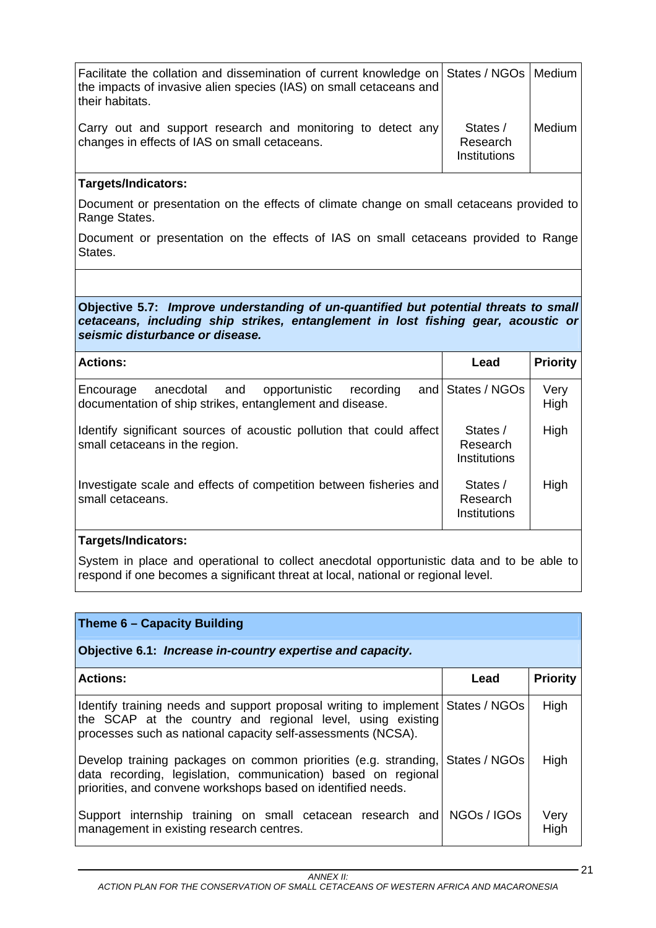| Facilitate the collation and dissemination of current knowledge on States / NGOs   Medium<br>the impacts of invasive alien species (IAS) on small cetaceans and<br>their habitats. |                                             |        |
|------------------------------------------------------------------------------------------------------------------------------------------------------------------------------------|---------------------------------------------|--------|
| Carry out and support research and monitoring to detect any<br>changes in effects of IAS on small cetaceans.                                                                       | States /<br>Research<br><b>Institutions</b> | Medium |

Document or presentation on the effects of climate change on small cetaceans provided to Range States.

Document or presentation on the effects of IAS on small cetaceans provided to Range States.

**Objective 5.7:** *Improve understanding of un-quantified but potential threats to small cetaceans, including ship strikes, entanglement in lost fishing gear, acoustic or seismic disturbance or disease.*

| <b>Actions:</b>                                                                                                                | Lead                                 | <b>Priority</b> |
|--------------------------------------------------------------------------------------------------------------------------------|--------------------------------------|-----------------|
| anecdotal<br>and<br>Encourage<br>and<br>opportunistic<br>recording<br>documentation of ship strikes, entanglement and disease. | States / NGOs                        | Very<br>High    |
| Identify significant sources of acoustic pollution that could affect<br>small cetaceans in the region.                         | States /<br>Research<br>Institutions | High            |
| Investigate scale and effects of competition between fisheries and<br>small cetaceans.                                         | States /<br>Research<br>Institutions | High            |

## **Targets/Indicators:**

System in place and operational to collect anecdotal opportunistic data and to be able to respond if one becomes a significant threat at local, national or regional level.

| Theme 6 - Capacity Building                                                                                                                                                                                   |               |                 |
|---------------------------------------------------------------------------------------------------------------------------------------------------------------------------------------------------------------|---------------|-----------------|
| Objective 6.1: Increase in-country expertise and capacity.                                                                                                                                                    |               |                 |
| <b>Actions:</b>                                                                                                                                                                                               | Lead          | <b>Priority</b> |
| Identify training needs and support proposal writing to implement States / NGOs<br>the SCAP at the country and regional level, using existing<br>processes such as national capacity self-assessments (NCSA). |               | High            |
| Develop training packages on common priorities (e.g. stranding,<br>data recording, legislation, communication) based on regional<br>priorities, and convene workshops based on identified needs.              | States / NGOs | High            |
| Support internship training on small cetacean research and NGOs / IGOs<br>management in existing research centres.                                                                                            |               | Very<br>High    |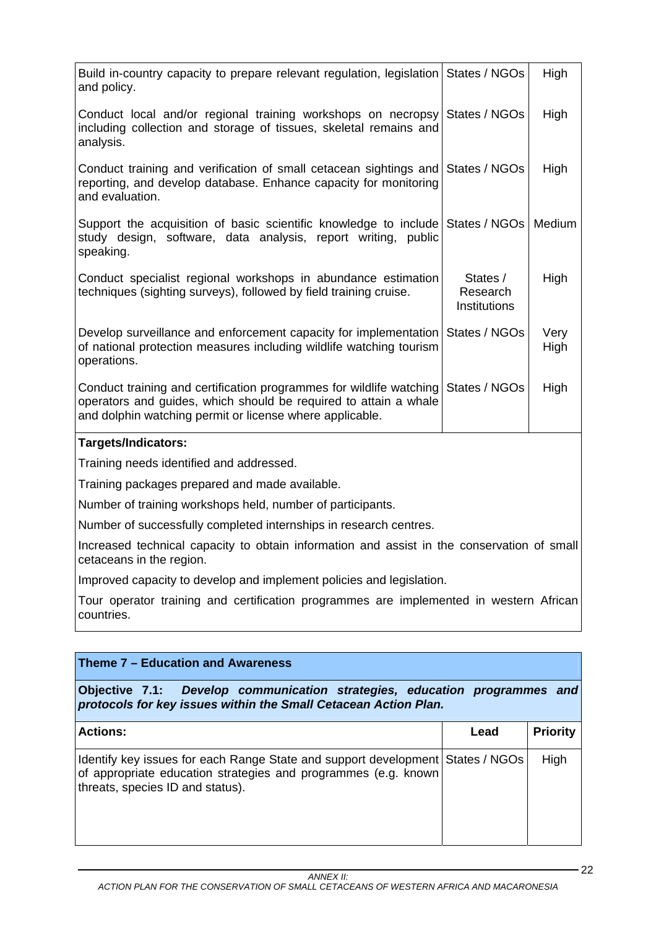| Build in-country capacity to prepare relevant regulation, legislation States / NGOs<br>and policy.                                                                                                  |                                             | High         |
|-----------------------------------------------------------------------------------------------------------------------------------------------------------------------------------------------------|---------------------------------------------|--------------|
| Conduct local and/or regional training workshops on necropsy<br>including collection and storage of tissues, skeletal remains and<br>analysis.                                                      | States / NGOs                               | High         |
| Conduct training and verification of small cetacean sightings and<br>reporting, and develop database. Enhance capacity for monitoring<br>and evaluation.                                            | States / NGOs                               | High         |
| Support the acquisition of basic scientific knowledge to include States / NGOs<br>study design, software, data analysis, report writing, public<br>speaking.                                        |                                             | Medium       |
| Conduct specialist regional workshops in abundance estimation<br>techniques (sighting surveys), followed by field training cruise.                                                                  | States /<br>Research<br><b>Institutions</b> | High         |
| Develop surveillance and enforcement capacity for implementation States / NGOs<br>of national protection measures including wildlife watching tourism<br>operations.                                |                                             | Very<br>High |
| Conduct training and certification programmes for wildlife watching<br>operators and guides, which should be required to attain a whale<br>and dolphin watching permit or license where applicable. | States / NGOs                               | High         |
| Targets/Indicators:                                                                                                                                                                                 |                                             |              |
| Training needs identified and addressed.                                                                                                                                                            |                                             |              |
| Training packages prepared and made available.                                                                                                                                                      |                                             |              |
| Number of training workshops held, number of participants.                                                                                                                                          |                                             |              |
| Number of successfully completed internships in research centres.                                                                                                                                   |                                             |              |
| Increased technical capacity to obtain information and assist in the conservation of small<br>cetaceans in the region.                                                                              |                                             |              |
| Improved capacity to develop and implement policies and legislation.                                                                                                                                |                                             |              |
| Tour operator training and certification programmes are implemented in western African<br>countries.                                                                                                |                                             |              |
|                                                                                                                                                                                                     |                                             |              |
| Theme 7 - Education and Awareness                                                                                                                                                                   |                                             |              |
| Objective 7.1:<br>Develop communication strategies, education programmes and<br>protocols for key issues within the Small Cetacean Action Plan.                                                     |                                             |              |

| <b>Actions:</b>                                                                                                                                                                      | Lead | <b>Priority</b> |
|--------------------------------------------------------------------------------------------------------------------------------------------------------------------------------------|------|-----------------|
| Identify key issues for each Range State and support development States / NGOs<br>of appropriate education strategies and programmes (e.g. known<br>threats, species ID and status). |      | High            |

 $-22$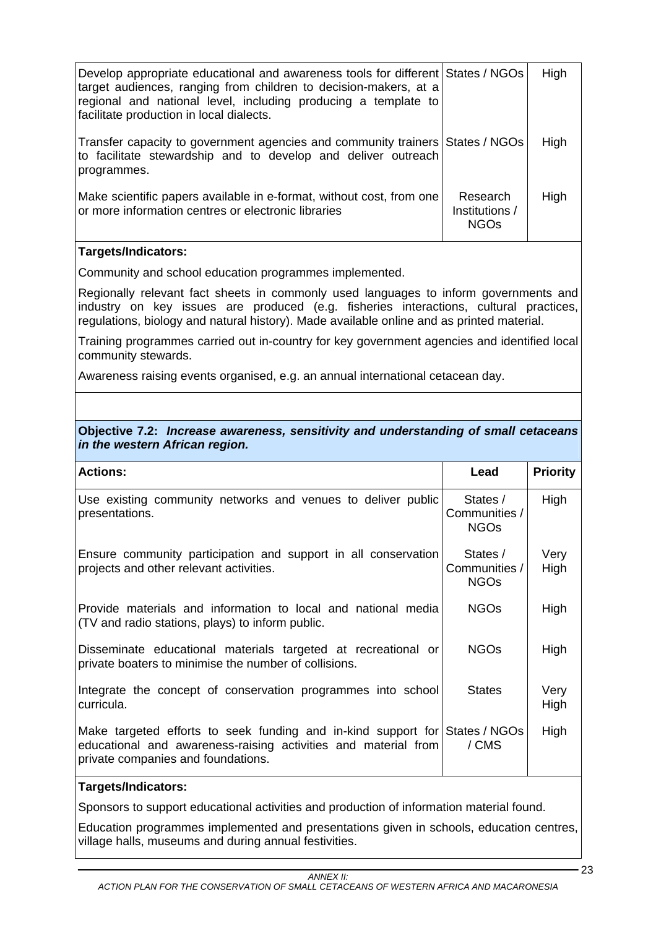| Develop appropriate educational and awareness tools for different States / NGOs<br>target audiences, ranging from children to decision-makers, at a<br>regional and national level, including producing a template to<br>facilitate production in local dialects. |                                           | High |
|-------------------------------------------------------------------------------------------------------------------------------------------------------------------------------------------------------------------------------------------------------------------|-------------------------------------------|------|
| Transfer capacity to government agencies and community trainers States / NGOs<br>to facilitate stewardship and to develop and deliver outreach<br>programmes.                                                                                                     |                                           | High |
| Make scientific papers available in e-format, without cost, from one<br>or more information centres or electronic libraries                                                                                                                                       | Research<br>Institutions /<br><b>NGOs</b> | High |

Community and school education programmes implemented.

Regionally relevant fact sheets in commonly used languages to inform governments and industry on key issues are produced (e.g. fisheries interactions, cultural practices, regulations, biology and natural history). Made available online and as printed material.

Training programmes carried out in-country for key government agencies and identified local community stewards.

Awareness raising events organised, e.g. an annual international cetacean day.

#### **Objective 7.2:** *Increase awareness, sensitivity and understanding of small cetaceans in the western African region.*

| <b>Actions:</b>                                                                                                                                                                     | Lead                                     | <b>Priority</b> |
|-------------------------------------------------------------------------------------------------------------------------------------------------------------------------------------|------------------------------------------|-----------------|
| Use existing community networks and venues to deliver public<br>presentations.                                                                                                      | States /<br>Communities /<br><b>NGOs</b> | High            |
| Ensure community participation and support in all conservation<br>projects and other relevant activities.                                                                           | States /<br>Communities /<br><b>NGOs</b> | Very<br>High    |
| Provide materials and information to local and national media<br>(TV and radio stations, plays) to inform public.                                                                   | NGO <sub>s</sub>                         | High            |
| Disseminate educational materials targeted at recreational or<br>private boaters to minimise the number of collisions.                                                              | NGO <sub>s</sub>                         | High            |
| Integrate the concept of conservation programmes into school<br>curricula.                                                                                                          | <b>States</b>                            | Very<br>High    |
| Make targeted efforts to seek funding and in-kind support for States / NGOs<br>educational and awareness-raising activities and material from<br>private companies and foundations. | / CMS                                    | High            |

### **Targets/Indicators:**

Sponsors to support educational activities and production of information material found.

Education programmes implemented and presentations given in schools, education centres, village halls, museums and during annual festivities.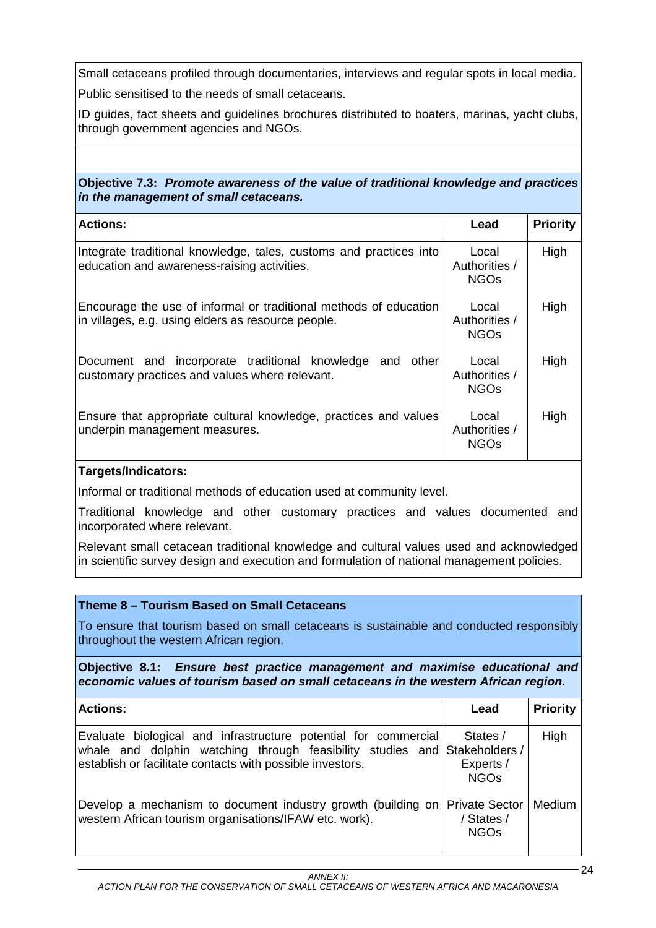Small cetaceans profiled through documentaries, interviews and regular spots in local media.

Public sensitised to the needs of small cetaceans.

ID guides, fact sheets and guidelines brochures distributed to boaters, marinas, yacht clubs, through government agencies and NGOs.

## **Objective 7.3:** *Promote awareness of the value of traditional knowledge and practices in the management of small cetaceans.*

| <b>Actions:</b>                                                                                                         | Lead                                  | <b>Priority</b> |
|-------------------------------------------------------------------------------------------------------------------------|---------------------------------------|-----------------|
| Integrate traditional knowledge, tales, customs and practices into<br>education and awareness-raising activities.       | Local<br>Authorities /<br><b>NGOs</b> | High            |
| Encourage the use of informal or traditional methods of education<br>in villages, e.g. using elders as resource people. | Local<br>Authorities /<br><b>NGOs</b> | High            |
| Document and incorporate traditional knowledge<br>and other<br>customary practices and values where relevant.           | Local<br>Authorities /<br><b>NGOs</b> | High            |
| Ensure that appropriate cultural knowledge, practices and values<br>underpin management measures.                       | Local<br>Authorities /<br><b>NGOs</b> | High            |

## **Targets/Indicators:**

Informal or traditional methods of education used at community level.

Traditional knowledge and other customary practices and values documented and incorporated where relevant.

Relevant small cetacean traditional knowledge and cultural values used and acknowledged in scientific survey design and execution and formulation of national management policies.

## **Theme 8 – Tourism Based on Small Cetaceans**

To ensure that tourism based on small cetaceans is sustainable and conducted responsibly throughout the western African region.

**Objective 8.1:** *Ensure best practice management and maximise educational and economic values of tourism based on small cetaceans in the western African region.* 

| <b>Actions:</b>                                                                                                                                                                                            | Lead                                                          | <b>Priority</b> |
|------------------------------------------------------------------------------------------------------------------------------------------------------------------------------------------------------------|---------------------------------------------------------------|-----------------|
| Evaluate biological and infrastructure potential for commercial<br> whale and dolphin watching through feasibility studies and Stakeholders /<br>establish or facilitate contacts with possible investors. | States /<br>Experts /<br><b>NGO<sub>s</sub></b>               | High            |
| Develop a mechanism to document industry growth (building on<br>western African tourism organisations/IFAW etc. work).                                                                                     | <b>Private Sector</b><br>/ States /<br><b>NGO<sub>S</sub></b> | Medium          |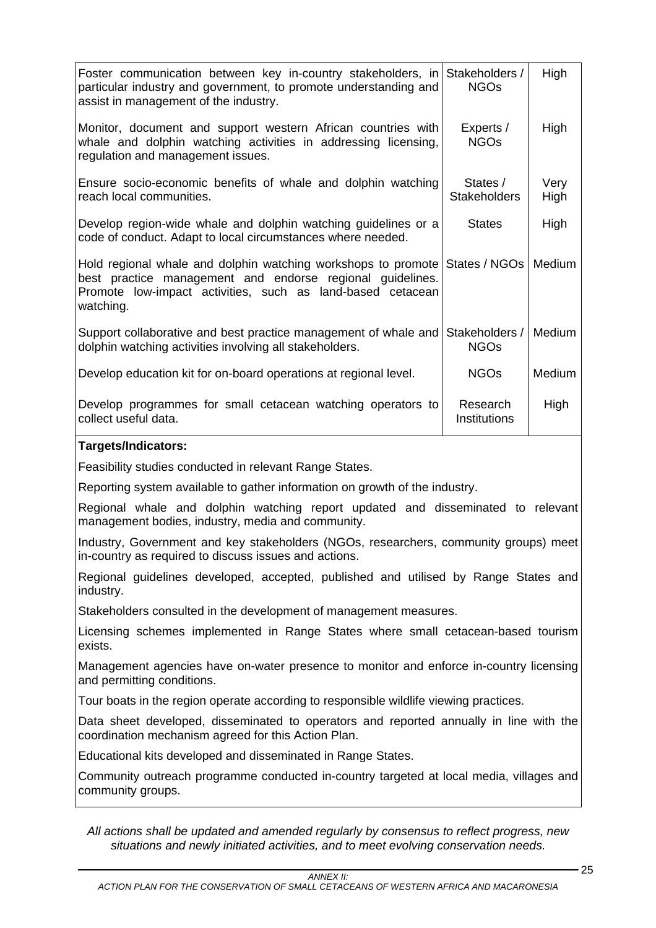| Foster communication between key in-country stakeholders, in<br>particular industry and government, to promote understanding and<br>assist in management of the industry.                             | Stakeholders /<br><b>NGOs</b>   | High         |
|-------------------------------------------------------------------------------------------------------------------------------------------------------------------------------------------------------|---------------------------------|--------------|
| Monitor, document and support western African countries with<br>whale and dolphin watching activities in addressing licensing,<br>regulation and management issues.                                   | Experts /<br><b>NGOs</b>        | High         |
| Ensure socio-economic benefits of whale and dolphin watching<br>reach local communities.                                                                                                              | States /<br><b>Stakeholders</b> | Very<br>High |
| Develop region-wide whale and dolphin watching guidelines or a<br>code of conduct. Adapt to local circumstances where needed.                                                                         | <b>States</b>                   | High         |
| Hold regional whale and dolphin watching workshops to promote<br>best practice management and endorse regional quidelines.<br>Promote low-impact activities, such as land-based cetacean<br>watching. | States / NGOs                   | Medium       |
| Support collaborative and best practice management of whale and<br>dolphin watching activities involving all stakeholders.                                                                            | Stakeholders /<br><b>NGOs</b>   | Medium       |
| Develop education kit for on-board operations at regional level.                                                                                                                                      | <b>NGOs</b>                     | Medium       |
| Develop programmes for small cetacean watching operators to<br>collect useful data.                                                                                                                   | Research<br>Institutions        | High         |
| <b>Targets/Indicators:</b>                                                                                                                                                                            |                                 |              |
| Feasibility studies conducted in relevant Range States.                                                                                                                                               |                                 |              |
| Reporting system available to gather information on growth of the industry.                                                                                                                           |                                 |              |
| Regional whale and dolphin watching report updated and disseminated to relevant<br>management bodies, industry, media and community.                                                                  |                                 |              |
| Industry, Government and key stakeholders (NGOs, researchers, community groups) meet<br>in-country as required to discuss issues and actions.                                                         |                                 |              |
| Regional guidelines developed, accepted, published and utilised by Range States and<br>industry.                                                                                                      |                                 |              |
| Stakeholders consulted in the development of management measures.                                                                                                                                     |                                 |              |
| Licensing schemes implemented in Range States where small cetacean-based tourism<br>exists.                                                                                                           |                                 |              |
| Management agencies have on-water presence to monitor and enforce in-country licensing<br>and permitting conditions.                                                                                  |                                 |              |
| Tour boats in the region operate according to responsible wildlife viewing practices.                                                                                                                 |                                 |              |
| Data sheet developed, disseminated to operators and reported annually in line with the<br>coordination mechanism agreed for this Action Plan.                                                         |                                 |              |
|                                                                                                                                                                                                       |                                 |              |
| Educational kits developed and disseminated in Range States.                                                                                                                                          |                                 |              |
| Community outreach programme conducted in-country targeted at local media, villages and<br>community groups.                                                                                          |                                 |              |

*All actions shall be updated and amended regularly by consensus to reflect progress, new situations and newly initiated activities, and to meet evolving conservation needs.*